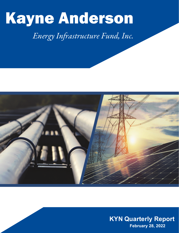

# *Energy Infrastructure Fund, Inc.*



**KYN Quarterly Report February 28, 2022**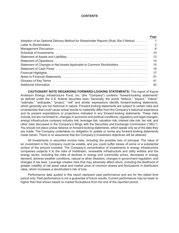#### **CONTENTS**

| Page                 |
|----------------------|
| $\blacktriangleleft$ |
| $\mathcal{P}$        |
| -6                   |
| 10                   |
| 13                   |
| 14                   |
| 15                   |
| 16                   |
| 17                   |
| 21                   |
| 41                   |
| 42                   |
|                      |

**CAUTIONARY NOTE REGARDING FORWARD-LOOKING STATEMENTS:** This report of Kayne Anderson Energy Infrastructure Fund, Inc. (the "Company") contains "forward-looking statements" as defined under the U.S. federal securities laws. Generally, the words "believe," "expect," "intend," "estimate," "anticipate," "project," "will" and similar expressions identify forward-looking statements, which generally are not historical in nature. Forward-looking statements are subject to certain risks and uncertainties that could cause actual results to materially differ from the Company's historical experience and its present expectations or projections indicated in any forward-looking statements. These risks include, but are not limited to, changes in economic and political conditions; regulatory and legal changes; energy infrastructure company industry risk; leverage risk; valuation risk; interest rate risk; tax risk; and other risks discussed in the Company's filings with the Securities and Exchange Commission ("SEC"). You should not place undue reliance on forward-looking statements, which speak only as of the date they are made. The Company undertakes no obligation to update or revise any forward-looking statements made herein. There is no assurance that the Company's investment objectives will be attained.

All investments in securities involve risks, including the possible loss of principal. The value of an investment in the Company could be volatile, and you could suffer losses of some or a substantial portion of the amount invested. The Company's concentration of investments in energy infrastructure companies subjects it to the risks of midstream, renewable infrastructure and utility entities and the energy sector, including the risks of declines in energy and commodity prices, decreases in energy demand, adverse weather conditions, natural or other disasters, changes in government regulation, and changes in tax laws. Leverage creates risks that may adversely affect return, including the likelihood of greater volatility of net asset value and market price of common shares and fluctuations in distribution rates, which increases a stockholder's risk of loss.

Performance data quoted in this report represent past performance and are for the stated time period only. Past performance is not a guarantee of future results. Current performance may be lower or higher than that shown based on market fluctuations from the end of the reported period.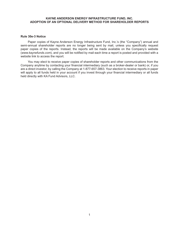# **KAYNE ANDERSON ENERGY INFRASTRUCTURE FUND, INC. ADOPTION OF AN OPTIONAL DELIVERY METHOD FOR SHAREHOLDER REPORTS**

# **Rule 30e-3 Notice**

Paper copies of Kayne Anderson Energy Infrastructure Fund, Inc.'s (the "Company") annual and semi-annual shareholder reports are no longer being sent by mail, unless you specifically request paper copies of the reports. Instead, the reports will be made available on the Company's website (*www.kaynefunds.com*), and you will be notified by mail each time a report is posted and provided with a website link to access the report.

You may elect to receive paper copies of shareholder reports and other communications from the Company anytime by contacting your financial intermediary (such as a broker-dealer or bank) or, if you are a direct investor, by calling the Company at 1-877-657-3863. Your election to receive reports in paper will apply to all funds held in your account if you invest through your financial intermediary or all funds held directly with KA Fund Advisors, LLC.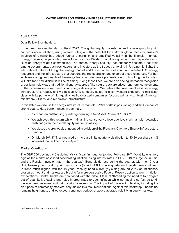# April 7, 2022

Dear Fellow Stockholders:

It has been an eventful start to fiscal 2022. The global equity markets began the year grappling with concerns about inflation, rising interest rates, and the potential for a slower global recovery. Russia's invasion of Ukraine has added further uncertainty and amplified volatility in the financial markets. Energy markets, in particular, are a focal point as Western countries question their dependence on Russian energy-related commodities. The phrase "energy security" has suddenly become a hot topic among governments, business leaders, and investors as the tragedy unfolding in Ukraine highlights the inter-related nature of the global energy market and the importance of abundant, reliable U.S. energy resources and the infrastructure that supports the transportation and export of these resources. Further, while we are big proponents of the energy transition, we have a pragmatic view of how long this transition will take (and how difficult it will be at times). Along those lines, we are also seeing increased recognition of our long-held view that traditional energy sources (like natural gas) are critical long-term complements to the acceleration in wind and solar energy development. We believe the investment case for energy infrastructure is robust, and we believe KYN is ideally suited to give investors exposure to this asset class with its portfolio of high-quality, well-capitalized companies focused primarily on North American midstream, utilities, and renewable infrastructure.

In this letter, we discuss the energy infrastructure markets, KYN's portfolio positioning, and the Company's strong year-to-date performance. In summary:

- KYN had an outstanding quarter generating a Net Asset Return of 16.3%;<sup>(1)</sup>
- We achieved this return while maintaining conservative leverage levels with ample "downside cushion" given the overall equity market volatility;<sup>(2)</sup>
- We closed the previously announced acquisition of the Fiduciary/Claymore Energy Infrastructure Fund; and
- On March 30<sup>th</sup>, KYN announced an increase in its quarterly distribution to \$0.20 per share (14%) increase) that will be paid on April 19<sup>th</sup>.

# **Market Conditions**

The S&P 500 declined 4.0% during KYN's fiscal first quarter (ended February 28<sup>th</sup>). Volatility was very high as the market assessed accelerating inflation, rising interest rates, a COVID-19 resurgence in Asia, and the Russian invasion late in the quarter.<sup>(3)</sup> Bond yields rose during the quarter, with the 10-year U.S. Treasury bond yield up 40 basis points (bps) to 1.8%. Since quarter-end, yields have continued to trend much higher, with the 10-year Treasury bond currently yielding around 2.6% as inflationary pressures mount and markets are bracing for more aggressive Federal Reserve action to rein in inflation expectations. Central banks are now faced with the difficult task of "threading the needle" to navigate out of quantitative easing and raise interest rates to quell inflation while not moving so fast as to kill the economic recovery and risk causing a recession. The impact of the war in Ukraine, including the disruption of commodity markets, only makes this task more difficult. Against this backdrop, uncertainty remains heightened, and we expect continued periods of above-average volatility in equity markets.

Endnotes can be found on page 5.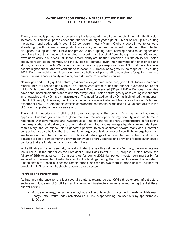Energy commodity prices were strong during the fiscal quarter and traded much higher after the Russian invasion. WTI crude oil prices ended the quarter at an eight-year high of \$96 per barrel (up 45% during the quarter) and traded briefly over \$125 per barrel in early March. Global crude oil inventories were already tight, with minimal spare production capacity as demand continued to rebound. The potential disruption in supplies from Russia has proved to be a tipping point, sending prices much higher and provoking the U.S. and other allies to release record quantities of oil from strategic reserves. We expect extreme volatility in oil prices until there is more clarity around the Ukrainian crisis, the ability of Russian supply to reach global markets, and the outlook for demand given the headwinds of higher prices and slowing economic growth. We do not expect a major supply response from U.S. producers this year despite higher prices, and we continue to forecast U.S. production to grow in the range of 5-8% during 2022. If we can avoid a global recession, we also believe oil prices will remain strong for quite some time due to minimal spare capacity and a higher risk premium reflected in prices.

Natural gas and LNG (liquified natural gas) have also garnered headlines, given that Russia represents roughly 40% of Europe's gas supply. U.S. prices were strong during the quarter, averaging \$4.40 per million British thermal unit (MMBtu), while prices in Europe averaged \$30 per MMBtu. European countries have announced ambitious plans to diversify away from Russian natural gas by accelerating investments in renewables and LNG import infrastructure. The need for additional LNG has highlighted the important role of U.S. supply. This year, the U.S. is expected to surpass Qatar and Australia as the world's largest exporter of LNG — a remarkable statistic considering that the first world scale LNG export facility in the U.S. was completed a mere six years ago.

The strategic importance of reliable U.S. energy supplies to Europe and Asia has never been more apparent. This has given rise to a global focus on the concept of energy security, and this theme is resonating with governments and investors alike. The importance of energy infrastructure in facilitating the transportation and delivery of U.S. oil, natural gas, LNG, and natural gas liquids is an important part of this story, and we expect this to generate positive investor sentiment toward many of our portfolio companies. We also believe that the quest for energy security does not conflict with the energy transition. We have long held that oil, natural gas, LNG and natural gas liquids will be part of the global mix for decades to come, complementing growing renewable energy sources and providing feedstock for plastic products that are fundamental to our modern lives.

While Ukraine and energy security have dominated the headlines since mid-February, there was intense focus earlier in the quarter on the President's Build Back Better ("BBB") proposal. Unfortunately, the failure of BBB to advance in Congress thus far during 2022 dampened investor sentiment a bit for some of our renewable infrastructure and utility holdings during the quarter. However, the long-term fundamentals for those businesses remain strong, and we believe there is broad political support for developing U.S. energy infrastructure across these sectors.

## **Portfolio and Performance**

As has been the case for the last several quarters, returns across KYN's three energy infrastructure sectors — midstream, U.S. utilities, and renewable infrastructure — were mixed during the first fiscal quarter of 2022.

• Midstream energy, our largest sector, had another outstanding quarter, with the Alerian Midstream Energy Total Return Index (AMNAX) up 17.1%, outperforming the S&P 500 by approximately 2,100 bps.

Endnotes can be found on page 5.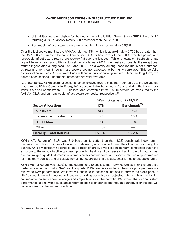- U.S. utilities were up slightly for the quarter, with the Utilities Select Sector SPDR Fund (XLU) returning 4.1%, or approximately 800 bps better than the S&P 500.
- Renewable infrastructure returns were near breakeven, at negative 0.5%.<sup>(4)</sup>

Over the last twelve months, the AMNAX returned 43%, which is approximately 2,700 bps greater than the S&P 500's return over the same time period. U.S. utilities have returned 20% over this period, and renewable infrastructure returns are roughly flat over the last year. While renewable infrastructure has lagged the midstream and utility sectors since mid-January 2021, one must also consider the exceptional returns it generated during fiscal 2019 and 2020. The diversity among these returns is not a surprise, as returns among our three primary sectors are not expected to be highly correlated. This portfolio diversification reduces KYN's overall risk without unduly sacrificing returns. Over the long term, we believe each sector's fundamental prospects are very favorable.

As shown below, KYN's sector allocations remain skewed toward midstream compared to the weightings that make up KYN's Composite Energy Infrastructure Index benchmark. As a reminder, the benchmark index is a blend of midstream, U.S. utilities, and renewable infrastructure sectors, as measured by the AMNAX, XLU, and our renewable infrastructure composite, respectively.<sup>(5)</sup>

|                                | Weightings as of 2/28/22 |                          |  |  |
|--------------------------------|--------------------------|--------------------------|--|--|
| <b>Sector Allocations</b>      | <b>KYN</b>               | Benchmark <sup>(5)</sup> |  |  |
| Midstream                      | 84%                      | 75%                      |  |  |
| Renewable Infrastructure       | 7%                       | 15%                      |  |  |
| U.S. Utilities                 | 8%                       | 10%                      |  |  |
| Other                          | 1%                       |                          |  |  |
| <b>Fiscal Q1 Total Returns</b> | 16.3%                    | $13.2\%$                 |  |  |

KYN's NAV Return of 16.3% was 310 basis points better than the 13.2% benchmark index return, primarily due to KYN's higher allocation to midstream, which outperformed the other sectors during the quarter. KYN's midstream holdings largely consist of larger, diversified midstream companies that have exposure to the most attractive upstream producing basins and own assets that link the oil, natural gas, and natural gas liquids to domestic customers and export markets. We expect continued outperformance for midstream equities and anticipate remaining "overweight" in this subsector for the foreseeable future.

KYN's Market Return was 13.9% for the quarter, or 240 bps less than NAV Return, as KYN's share price traded at a wider discount to NAV over the quarter.<sup>(6)</sup> We are disappointed in the stock price performance relative to NAV performance. While we will continue to assess all options to narrow the stock price to NAV discount, we will continue to focus on providing attractive risk-adjusted returns while maintaining conservative balance sheet leverage and ample liquidity in the portfolio. We expect that our consistent performance, along with a substantial return of cash to shareholders through quarterly distributions, will be recognized by the market over time.

Endnotes can be found on page 5.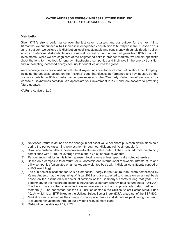## **Distribution**

Given KYN's strong performance over the last seven quarters and our outlook for the next 12 to 18 months, we announced a 14% increase in our quarterly distribution to \$0.20 per share.<sup>(7)</sup> Based on our current outlook, we believe this distribution level is sustainable and consistent with our distribution policy, which considers net distributable income as well as realized and unrealized gains from KYN's portfolio investments. While we are cognizant of the heightened risks in broader markets, we remain optimistic about the long-term outlook for energy infrastructure companies and their role in the energy transition and in facilitating increased energy security for our allies across the globe.

We encourage investors to visit our website at [kaynefunds.com](https://kaynefunds.com/) for more information about the Company, including the podcasts posted on the "Insights" page that discuss performance and key industry trends. For more details on KYN's performance, please refer to the "Quarterly Performance" section of our website at kaynefunds.com/kyn. We appreciate your investment in KYN and look forward to providing future updates.

KA Fund Advisors, LLC

- (3) Performance metrics in this letter represent total returns unless specifically noted otherwise.
- (4) Based on a composite total return for 38 domestic and international renewable infrastructure and utility companies (calculated on a market-cap weighted basis with individual constituents capped at a 10% weighting).
- (5) The sub-sector allocations for KYN's Composite Energy Infrastructure Index were established by Kayne Anderson at the beginning of fiscal 2022 and are expected to change on an annual basis based on the estimated sub-sector allocations of the Company's assets during that year. The benchmark for the midstream sector is the Alerian Midstream Energy Total Return Index (AMNAX). The benchmark for the renewable infrastructure sector is the composite total return defined in footnote (4). The benchmark for the U.S. utilities sector is the Utilities Select Sector SPDR Fund (XLU), which is an ETF linked to the Utilities Select Sector Index (IXU), a sub-set of the S&P 500.
- (6) Market return is defined as the change in share price plus cash distributions paid during the period (assuming reinvestment through our dividend reinvestment plan).
- (7) Distribution payable April 19, 2022.

<sup>(1)</sup> Net Asset Return is defined as the change in net asset value per share plus cash distributions paid during the period (assuming reinvestment through our dividend reinvestment plan).

<sup>(2)</sup> Downside cushion reflects the decrease in total asset value that could be sustained while maintaining compliance with 1940 Act leverage levels and KYN's financial covenants.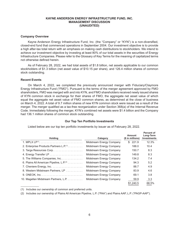## KAYNE ANDERSON ENERGY INFRASTRUCTURE FUND. INC. **MANAGEMENT DISCUSSION** (UNAUDITED)

#### **Company Overview**

Kayne Anderson Energy Infrastructure Fund, Inc. (the "Company" or "KYN") is a non-diversified, closed-end fund that commenced operations in September 2004. Our investment objective is to provide a high after-tax total return with an emphasis on making cash distributions to stockholders. We intend to achieve our investment objective by investing at least 80% of our total assets in the securities of Energy Infrastructure Companies. Please refer to the Glossary of Key Terms for the meaning of capitalized terms not otherwise defined herein.

As of February 28, 2022, we had total assets of \$1.8 billion, net assets applicable to our common stockholders of \$1.3 billion (net asset value of \$10.15 per share), and 126.4 million shares of common stock outstanding.

#### **Recent Events**

On March 4, 2022, we completed the previously announced merger with Fiduciary/Claymore Energy Infrastructure Fund ("FMO"). Pursuant to the terms of the merger agreement approved by FMO shareholders, FMO was merged with and into KYN, and FMO shareholders received newly issued shares of KYN common stock in exchange for their shares of FMO, the aggregate net asset value of which equal the aggregate net asset value of FMO common shares, as determined at the close of business on March 4, 2022. A total of 9.7 million shares of new KYN common stock were issued as a result of the merger. The merger qualified as a tax-free reorganization under Section 368(a) of the Internal Revenue Code. Immediately following the merger, KYN's combined net assets were \$1.4 billion and the Company had 136.1 million shares of common stock outstanding.

#### **Our Top Ten Portfolio Investments**

**Percent of** 

| <b>Holding</b>                                           | Category                 |             | Long-Term<br><b>Investments</b> |
|----------------------------------------------------------|--------------------------|-------------|---------------------------------|
|                                                          | Midstream Energy Company | 221.9<br>\$ | 12.3%                           |
| 2. Enterprise Products Partners L.P. <sup>(1)</sup> .    | Midstream Energy Company | 188.0       | 10.4                            |
|                                                          | Midstream Energy Company | 150.7       | 8.3                             |
|                                                          | Midstream Energy Company | 149.8       | 8.3                             |
| 5. The Williams Companies, Inc                           | Midstream Energy Company | 134.2       | 7.4                             |
| 6. Plains All American Pipeline, $L.P^{(2)} \dots \dots$ | Midstream Energy Company | 94.3        | 5.2                             |
|                                                          | Midstream Energy Company | 88.7        | 4.9                             |
| 8. Western Midstream Partners, LP                        | Midstream Energy Company | 83.9        | 4.6                             |
|                                                          | Midstream Energy Company | 69.1        | 3.8                             |
| 10. Magellan Midstream Partners, L.P.                    | Midstream Energy Company | 59.9        | 3.3                             |
|                                                          |                          | \$1.240.5   | 68.5%                           |

Listed below are our top ten portfolio investments by issuer as of February 28, 2022.

(1) Includes our ownership of common and preferred units.

(2) Includes our ownership of Plains All American Pipeline, L.P. ("PAA") and Plains AAP, L.P. ("PAGP-AAP").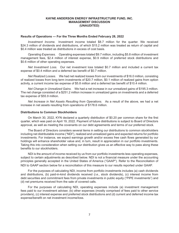## **KAYNE ANDERSON ENERGY INFRASTRUCTURE FUND, INC. MANAGEMENT DISCUSSION (UNAUDITED)**

#### **Results of Operations — For the Three Months Ended February 28, 2022**

*Investment Income.* Investment income totaled \$8.7 million for the quarter. We received \$24.3 million of dividends and distributions, of which \$15.2 million was treated as return of capital and \$0.4 million was treated as distributions in excess of cost basis.

*Operating Expenses.* Operating expenses totaled \$9.7 million, including \$5.8 million of investment management fees, \$2.4 million of interest expense, \$0.9 million of preferred stock distributions and \$0.6 million of other operating expenses.

*Net Investment Loss.* Our net investment loss totaled \$0.7 million and included a current tax expense of \$0.4 million and a deferred tax benefit of \$0.7 million.

*Net Realized Losses.* We had net realized losses from our investments of \$16.0 million, consisting of realized losses from long term investments of \$20.7 million, \$0.1 million of realized gains from option activity, a current income tax expense of \$5.8 million and a deferred tax benefit of \$10.4 million.

*Net Change in Unrealized Gains.* We had a net increase in our unrealized gains of \$195.3 million. The net change consisted of a \$251.2 million increase in unrealized gains on investments and a deferred tax expense of \$55.9 million.

*Net Increase in Net Assets Resulting from Operations.* As a result of the above, we had a net increase in net assets resulting from operations of \$178.6 million.

#### **Distributions to Common Stockholders**

On March 30, 2022, KYN declared a quarterly distribution of \$0.20 per common share for the first quarter, which was paid on April 19, 2022. Payment of future distributions is subject to Board of Directors approval, as well as meeting the covenants on our debt agreements and terms of our preferred stock.

The Board of Directors considers several items in setting our distributions to common stockholders including net distributable income ("NDI"), realized and unrealized gains and expected returns for portfolio investments. For instance, we expect earnings growth and/or excess free cash flows generated by our holdings will enhance shareholder value and, in turn, result in appreciation in our portfolio investments. Taking this into consideration when setting our distribution gives us an effective way to pass along these benefits to our stockholders.

NDI is the amount of income received by us from our portfolio investments less operating expenses, subject to certain adjustments as described below. NDI is not a financial measure under the accounting principles generally accepted in the United States of America ("GAAP"). Refer to the Reconciliation of NDI to GAAP section below for a reconciliation of this measure to our results reported under GAAP.

For the purposes of calculating NDI, income from portfolio investments includes (a) cash dividends and distributions, (b) paid-in-kind dividends received (*i.e.*, stock dividends), (c) interest income from debt securities and commitment fees from private investments in public equity ("PIPE investments") and (d) net premiums received from the sale of covered calls.

For the purposes of calculating NDI, operating expenses include (a) investment management fees paid to our investment adviser, (b) other expenses (mostly comprised of fees paid to other service providers), (c) interest expense and preferred stock distributions and (d) current and deferred income tax expense/benefit on net investment income/loss.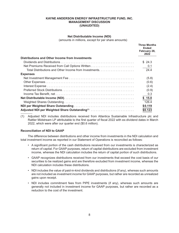## KAYNE ANDERSON ENERGY INFRASTRUCTURE FUND. INC. **MANAGEMENT DISCUSSION** (UNAUDITED)

#### **Net Distributable Income (NDI)**

(amounts in millions, except for per share amounts)

|                                                            | <b>Three Months</b><br><b>Ended</b><br>February 28,<br>2022 |
|------------------------------------------------------------|-------------------------------------------------------------|
| <b>Distributions and Other Income from Investments</b>     |                                                             |
|                                                            | \$24.3                                                      |
| Net Premiums Received from Call Options Written            | 0.1                                                         |
|                                                            | 24.4                                                        |
| <b>Expenses</b>                                            |                                                             |
|                                                            | (5.8)                                                       |
|                                                            | (0.6)                                                       |
|                                                            | (2.4)                                                       |
|                                                            | (0.9)                                                       |
|                                                            | 0.3                                                         |
|                                                            | \$15.0                                                      |
|                                                            | 126.4                                                       |
|                                                            | \$0.119                                                     |
| Adjusted NDI per Weighted Share Outstanding <sup>(1)</sup> | \$0.123                                                     |

(1) Adjusted NDI includes distributions received from Atlantica Sustainable Infrastructure plc and Rattler Midstream LP attributable to the first quarter of fiscal 2022 with ex-dividend dates in March 2022, which were after our quarter end (\$0.6 million).

# **Reconciliation of NDI to GAAP**

The difference between distributions and other income from investments in the NDI calculation and total investment income as reported in our Statement of Operations is reconciled as follows:

- A significant portion of the cash distributions received from our investments is characterized as return of capital. For GAAP purposes, return of capital distributions are excluded from investment income, whereas the NDI calculation includes the return of capital portion of such distributions.
- GAAP recognizes distributions received from our investments that exceed the cost basis of our securities to be realized gains and are therefore excluded from investment income, whereas the NDI calculation includes these distributions.
- NDI includes the value of paid-in-kind dividends and distributions (if any), whereas such amounts are not included as investment income for GAAP purposes, but rather are recorded as unrealized gains upon receipt.
- NDI includes commitment fees from PIPE investments (if any), whereas such amounts are generally not included in investment income for GAAP purposes, but rather are recorded as a reduction to the cost of the investment.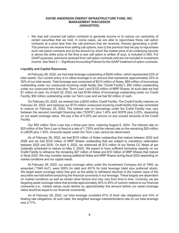## **KAYNE ANDERSON ENERGY INFRASTRUCTURE FUND, INC. MANAGEMENT DISCUSSION (UNAUDITED)**

• We may sell covered call option contracts to generate income or to reduce our ownership of certain securities that we hold. In some cases, we are able to repurchase these call option contracts at a price less than the call premium that we received, thereby generating a profit. The premium we receive from selling call options, less (i) the premium that we pay to repurchase such call option contracts and (ii) the amount by which the market price of an underlying security is above the strike price at the time a new call option is written (if any), is included in NDI. For GAAP purposes, premiums received from call option contracts sold are not included in investment income. See Note 2 — Significant Accounting Policies for the GAAP treatment of option contracts.

#### **Liquidity and Capital Resources**

At February 28, 2022, we had total leverage outstanding of \$426 million, which represented 23% of total assets. Our current policy is to utilize leverage in an amount that represents approximately 25% to 30% of our total assets. Total leverage was comprised of \$210 million of Notes, \$65 million of borrowings outstanding under our unsecured revolving credit facility (the "Credit Facility"), \$50 million outstanding under our unsecured term loan (the "Term Loan") and \$102 million of MRP Shares. At such date we had \$1 million of cash. As of April 22, 2022, we had \$148 million of borrowings outstanding under our Credit Facility, \$50 million outstanding under our Term Loan and we had \$2 million of cash.

On February 25, 2022, we entered into a \$200 million Credit Facility. The Credit Facility matures on February 24, 2023, and replaces our \$170 million unsecured revolving credit facility that was scheduled to mature on February 25, 2022. The interest rate on borrowings under the Credit Facility may vary between the secured overnight financing rate ("SOFR") plus 1.40% and SOFR plus 2.25%, depending on our asset coverage ratios. We pay a fee of 0.20% per annum on any unused amounts of the Credit Facility.

Our \$50 million Term Loan has a three-year term, maturing August 6, 2024. The interest rate on \$25 million of the Term Loan is fixed at a rate of 1.735% and the interest rate on the remaining \$25 million is LIBOR plus 1.30%. Amounts repaid under the Term Loan cannot be reborrowed.

As of February 28, 2022, we had \$210 million of Notes outstanding that mature between 2022 and 2026 and we had \$102 million of MRP Shares outstanding that are subject to mandatory redemption between 2022 and 2030. On April 4, 2022, we redeemed all \$12 million of our Series CC Notes at par (originally scheduled to mature on May 3, 2022). We expect to have sufficient borrowing capacity on our Credit Facility to refinance the remaining \$27 million of Notes and \$10 million of MRP Shares that mature in fiscal 2022. We may consider issuing additional Notes and MRP Shares during fiscal 2022 depending on market conditions and our capital needs.

At February 28, 2022, our asset coverage ratios under the Investment Company Act of 1940, as amended ("1940 Act"), were 526% for debt and 401% for total leverage (debt plus preferred stock). We target asset coverage ratios that give us the ability to withstand declines in the market value of the securities we hold before breaching the financial covenants in our leverage. These targets are dependent on market conditions as well as certain other factors and may vary from time to time. Currently, we are targeting asset coverage ratios that provide approximately 30% to 40% of cushion relative to our financial covenants (i.e., market values could decline by approximately this amount before our asset coverage ratios would be equal to our financial covenants).

As of February 28, 2022, our total leverage consisted 67% of fixed rate obligations and 33% of floating rate obligations. At such date, the weighted average interest/dividend rate on our total leverage was 2.77%.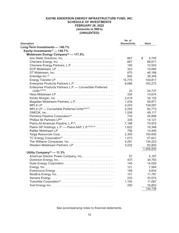# **KAYNE ANDERSON ENERGY INFRASTRUCTURE FUND, INC. SCHEDULE OF INVESTMENTS FEBRUARY 28, 2022 (amounts in 000's) (UNAUDITED)**

|                                                                   | No. of              |             |
|-------------------------------------------------------------------|---------------------|-------------|
| <b>Description</b>                                                | <b>Shares/Units</b> | Value       |
| Long-Term Investments - 140.7%                                    |                     |             |
| Equity Investments <sup>(1)</sup> - 140.7%                        |                     |             |
| Midstream Energy Company <sup>(2)</sup> - 117.5%                  |                     |             |
|                                                                   | 667                 | \$<br>9,745 |
|                                                                   | 667                 | 88,671      |
|                                                                   | 195                 | 10,503      |
|                                                                   | 323                 | 10,685      |
|                                                                   | 870                 | 46,186      |
|                                                                   | 842                 | 36,349      |
|                                                                   | 14,775              | 149,817     |
|                                                                   | 6,686               | 163,272     |
| Enterprise Products Partners L.P. - Convertible Preferred         |                     |             |
|                                                                   | 23                  | 24,737      |
|                                                                   | 334                 | 10,674      |
|                                                                   | 2,019               | 35,122      |
|                                                                   | 1,234               | 59,871      |
|                                                                   | 4,243               | 139,087     |
| MPLX LP - Convertible Preferred Units <sup>(4)(5)(7)</sup>        | 2,255               | 82,773      |
|                                                                   | 1,058               | 69,117      |
|                                                                   | 733                 | 24,899      |
|                                                                   | 335                 | 14,121      |
| Plains All American Pipeline, L.P. <sup>(9)</sup>                 | 7,188               | 75,975      |
| Plains GP Holdings, L.P. - Plains AAP, L.P. <sup>(5)(9)(10)</sup> | 1,622               | 18,348      |
|                                                                   | 756                 | 10,440      |
|                                                                   | 2,305               | 150,692     |
| TC Energy Corporation <sup>(3)</sup>                              | 1,073               | 57,621      |
|                                                                   | 4,291               | 134,223     |
|                                                                   | 3,222               | 83,902      |
|                                                                   |                     | 1,506,830   |
| Utility Company <sup>(2)</sup> - 11.3%                            |                     |             |
|                                                                   | 57                  | 5,167       |
|                                                                   | 437                 | 34,763      |
|                                                                   | 145                 | 14,529      |
|                                                                   | 121                 | 7,564       |
|                                                                   | 108                 | 8,834       |
|                                                                   | 151                 | 11,787      |
|                                                                   | 233                 | 33,574      |
|                                                                   | 1,150               | 11,667      |
|                                                                   | 250                 | 16,853      |
|                                                                   |                     | 144,738     |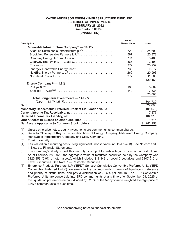# **KAYNE ANDERSON ENERGY INFRASTRUCTURE FUND, INC. SCHEDULE OF INVESTMENTS FEBRUARY 28, 2022 (amounts in 000's) (UNAUDITED)**

| <b>Description</b>                                        | No. of<br><b>Shares/Units</b> | Value        |
|-----------------------------------------------------------|-------------------------------|--------------|
| Renewable Infrastructure Company <sup>(2)</sup> — 10.1%   |                               |              |
| Atlantica Sustainable Infrastructure plc(3)               | 729                           | \$<br>24,603 |
| Brookfield Renewable Partners L.P. <sup>(3)</sup>         | 567                           | 20,378       |
|                                                           | 111                           | 3,406        |
|                                                           | 365                           | 12,191       |
|                                                           | 372                           | 25,957       |
| Innergex Renewable Energy Inc. <sup>(3)</sup>             | 735                           | 10,677       |
|                                                           | 269                           | 20,993       |
|                                                           | 377                           | 11,963       |
|                                                           |                               | 130,168      |
| Energy Company <sup>(2)</sup> — $1.8\%$                   |                               |              |
|                                                           | 186                           | 15,669       |
|                                                           | 140                           | 7,334        |
|                                                           |                               | 23,003       |
| Total Long-Term Investments - 140.7%                      |                               |              |
|                                                           |                               | 1,804,739    |
| Debt                                                      |                               | (324, 686)   |
| Mandatory Redeemable Preferred Stock at Liquidation Value |                               | (101, 670)   |
| Current Income Tax Receivable, net                        |                               | 7,877        |
|                                                           |                               | (104, 916)   |
| Other Assets in Excess of Other Liabilities               |                               | 1,614        |
| Net Assets Applicable to Common Stockholders              |                               | \$1,282,958  |

(1) Unless otherwise noted, equity investments are common units/common shares.

(2) Refer to Glossary of Key Terms for definitions of Energy Company, Midstream Energy Company, Renewable Infrastructure Company and Utility Company.

(3) Foreign security.

(4) Fair valued on a recurring basis using significant unobservable inputs (Level 3). See Notes 2 and 3 in Notes to Financial Statements.

- (5) The Company's ability to sell this security is subject to certain legal or contractual restrictions. As of February 28, 2022, the aggregate value of restricted securities held by the Company was \$125,858 (6.9% of total assets), which included \$18,348 of Level 2 securities and \$107,510 of Level 3 securities. See Note 7 — Restricted Securities.
- (6) Enterprise Products Partners, L.P. ("EPD") Series A Cumulative Convertible Preferred Units ("EPD Convertible Preferred Units") are senior to the common units in terms of liquidation preference and priority of distributions, and pay a distribution of 7.25% per annum. The EPD Convertible Preferred Units are convertible into EPD common units at any time after September 29, 2025 at the liquidation preference amount divided by 92.5% of the 5-day volume weighted average price of EPD's common units at such time.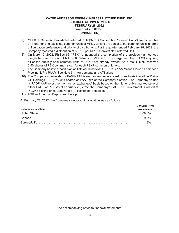# **KAYNE ANDERSON ENERGY INFRASTRUCTURE FUND, INC. SCHEDULE OF INVESTMENTS FEBRUARY 28, 2022 (amounts in 000's) (UNAUDITED)**

- (7) MPLX LP Series A Convertible Preferred Units ("MPLX Convertible Preferred Units") are convertible on a one-for-one basis into common units of MPLX LP and are senior to the common units in terms of liquidation preference and priority of distributions. For the quarter ended February 28, 2022, the Company received a distribution of \$0.705 per MPLX Convertible Preferred Unit.
- (8) On March 9, 2022, Phillips 66 ("PSX") announced the completion of the previously announced merger between PSX and Phillips 66 Partners LP ("PSXP"). The merger resulted in PSX acquiring all of the publicly held common units of PSXP not already owned. As a result, KYN received 0.50 shares of PSX common stock for each PSXP common unit held.
- (9) The Company believes that it is an affiliate of Plains AAP, L.P. ("PAGP-AAP") and Plains All American Pipeline, L.P. ("PAA"). See Note 5 — Agreements and Affiliations.
- (10) The Company's ownership of PAGP-AAP is exchangeable on a one-for-one basis into either Plains GP Holdings, L.P. ("PAGP") shares or PAA units at the Company's option. The Company values its PAGP-AAP investment on an "as exchanged" basis based on the higher public market value of either PAGP or PAA. As of February 28, 2022, the Company's PAGP-AAP investment is valued at PAGP's closing price. See Note 7 — Restricted Securities.
- (11) ADR American Depositary Receipt.

At February 28, 2022, the Company's geographic allocation was as follows:

| <b>Geographic Location</b> | % of Long-Term<br><b>Investments</b> |
|----------------------------|--------------------------------------|
|                            | 88.6%                                |
|                            | 9.6%                                 |
|                            | 1.8%                                 |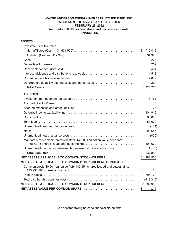# **KAYNE ANDERSON ENERGY INFRASTRUCTURE FUND, INC. STATEMENT OF ASSETS AND LIABILITIES FEBRUARY 28, 2022 (amounts in 000's, except share and per share amounts) (UNAUDITED)**

# **ASSETS**

| Investments at fair value:                                                  |             |
|-----------------------------------------------------------------------------|-------------|
|                                                                             | \$1,710,416 |
|                                                                             | 94,323      |
|                                                                             | 1,278       |
|                                                                             | 759         |
|                                                                             | 3,404       |
|                                                                             | 1,513       |
|                                                                             | 7,877       |
| Deferred credit facility offering costs and other assets                    | 1,200       |
|                                                                             | 1,820,770   |
| <b>LIABILITIES</b>                                                          |             |
|                                                                             | 5,761       |
|                                                                             | 148         |
|                                                                             | 2,777       |
|                                                                             | 104,916     |
|                                                                             | 65,000      |
|                                                                             | 50,000      |
|                                                                             | (134)       |
|                                                                             | 209,686     |
|                                                                             | (825)       |
| Mandatory redeemable preferred stock, \$25.00 liquidation value per share   |             |
|                                                                             | 101,670     |
| Unamortized mandatory redeemable preferred stock issuance costs             | (1, 187)    |
|                                                                             | 537,812     |
| NET ASSETS APPLICABLE TO COMMON STOCKHOLDERS                                | \$1,282,958 |
| NET ASSETS APPLICABLE TO COMMON STOCKHOLDERS CONSIST OF                     |             |
| Common stock, \$0.001 par value (126,447,554 shares issued and outstanding, | 126<br>\$   |
|                                                                             | 1,795,178   |
|                                                                             | (512, 346)  |
| NET ASSETS APPLICABLE TO COMMON STOCKHOLDERS                                | \$1,282,958 |
|                                                                             | 10.15<br>\$ |
|                                                                             |             |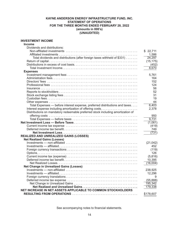# **KAYNE ANDERSON ENERGY INFRASTRUCTURE FUND, INC. STATEMENT OF OPERATIONS FOR THE THREE MONTHS ENDED FEBRUARY 28, 2022 (amounts in 000's) (UNAUDITED)**

# **INVESTMENT INCOME**

| <b>Income</b>                                                                   |           |
|---------------------------------------------------------------------------------|-----------|
| Dividends and distributions:                                                    |           |
|                                                                                 | \$22,711  |
|                                                                                 | 1,586     |
| Total dividends and distributions (after foreign taxes withheld of \$331)       | 24,297    |
|                                                                                 | (15, 175) |
|                                                                                 | (452)     |
|                                                                                 | 8,670     |
| <b>Expenses</b>                                                                 |           |
|                                                                                 | 5,761     |
|                                                                                 | 164       |
|                                                                                 | 152       |
|                                                                                 | 124       |
|                                                                                 | 56        |
|                                                                                 | 52        |
|                                                                                 | 31        |
|                                                                                 | 19        |
|                                                                                 | 44        |
| Total Expenses - before interest expense, preferred distributions and taxes     | 6,403     |
|                                                                                 |           |
|                                                                                 | 2,378     |
| Distributions on mandatory redeemable preferred stock including amortization of |           |
|                                                                                 | 950       |
|                                                                                 | 9,731     |
|                                                                                 | (1,061)   |
|                                                                                 | (419)     |
|                                                                                 | 749       |
|                                                                                 | (731)     |
| REALIZED AND UNREALIZED GAINS (LOSSES)                                          |           |
| <b>Net Realized Gains (Losses)</b>                                              |           |
|                                                                                 | (21, 042) |
|                                                                                 | 452       |
|                                                                                 | (119)     |
|                                                                                 | 126       |
|                                                                                 | (5,816)   |
|                                                                                 | 10,395    |
|                                                                                 | (16,004)  |
| <b>Net Change in Unrealized Gains (Losses)</b>                                  |           |
|                                                                                 | 238,925   |
|                                                                                 | 12,296    |
|                                                                                 | 9         |
|                                                                                 | (55, 888) |
|                                                                                 | 195,342   |
|                                                                                 | 179,338   |
| NET INCREASE IN NET ASSETS APPLICABLE TO COMMON STOCKHOLDERS                    |           |
|                                                                                 | \$178,607 |
|                                                                                 |           |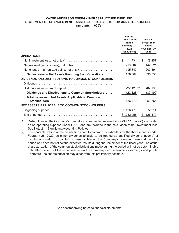## **KAYNE ANDERSON ENERGY INFRASTRUCTURE FUND, INC. STATEMENT OF CHANGES IN NET ASSETS APPLICABLE TO COMMON STOCKHOLDERS (amounts in 000's)**

|                                                                                                                 | For the<br><b>Three Months</b><br><b>Ended</b><br>February 28,<br>2022<br>(Unaudited) |                   | For the<br><b>Fiscal Year</b><br><b>Ended</b><br>November 30,<br>2021 |             |
|-----------------------------------------------------------------------------------------------------------------|---------------------------------------------------------------------------------------|-------------------|-----------------------------------------------------------------------|-------------|
| <b>OPERATIONS</b>                                                                                               |                                                                                       |                   |                                                                       |             |
| Net investment loss, net of tax <sup>(1)</sup> $\ldots \ldots \ldots \ldots \ldots \ldots \ldots \ldots \ldots$ | \$                                                                                    | (731)             | \$                                                                    | (9,857)     |
|                                                                                                                 |                                                                                       | (16,004)          |                                                                       | 142,221     |
|                                                                                                                 |                                                                                       | 195,342           |                                                                       | 203,391     |
| Net Increase in Net Assets Resulting from Operations                                                            |                                                                                       | 178,607           |                                                                       | 335,755     |
| DIVIDENDS AND DISTRIBUTIONS TO COMMON STOCKHOLDERS <sup>(1)</sup>                                               |                                                                                       |                   |                                                                       |             |
|                                                                                                                 |                                                                                       | (2)               |                                                                       |             |
|                                                                                                                 |                                                                                       | $(22, 128)^{(2)}$ |                                                                       | (82, 190)   |
| Dividends and Distributions to Common Stockholders                                                              |                                                                                       | (22, 128)         |                                                                       | (82, 190)   |
| <b>Total Increase in Net Assets Applicable to Common</b>                                                        |                                                                                       | 156,479           |                                                                       | 253,565     |
| <b>NET ASSETS APPLICABLE TO COMMON STOCKHOLDERS</b>                                                             |                                                                                       |                   |                                                                       |             |
|                                                                                                                 |                                                                                       | 1,126,479         |                                                                       | 872,914     |
|                                                                                                                 |                                                                                       | \$1,282,958       |                                                                       | \$1,126,479 |

(1) Distributions on the Company's mandatory redeemable preferred stock ("MRP Shares") are treated as an operating expense under GAAP and are included in the calculation of net investment loss. See Note 2 — Significant Accounting Policies.

(2) The characterization of the distributions paid to common stockholders for the three months ended February 28, 2022, as either dividends (eligible to be treated as qualified dividend income) or distributions (return of capital) is based solely on the Company's operating results during the period and does not reflect the expected results during the remainder of the fiscal year. The actual characterization of the common stock distributions made during the period will not be determinable until after the end of the fiscal year when the Company can determine its earnings and profits. Therefore, the characterization may differ from this preliminary estimate.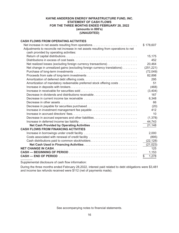# **KAYNE ANDERSON ENERGY INFRASTRUCTURE FUND, INC. STATEMENT OF CASH FLOWS FOR THE THREE MONTHS ENDED FEBRUARY 28, 2022 (amounts in 000's) (UNAUDITED)**

# **CASH FLOWS FROM OPERATING ACTIVITIES**

| Net increase in net assets resulting from operations                                 | \$178,607   |
|--------------------------------------------------------------------------------------|-------------|
| Adjustments to reconcile net increase in net assets resulting from operations to net |             |
| cash provided by operating activities:                                               |             |
|                                                                                      | 15,175      |
|                                                                                      | 452         |
| Net realized losses (excluding foreign currency transactions)                        | 20,464      |
| Net change in unrealized gains (excluding foreign currency translations)             | (251, 221)  |
|                                                                                      | (72, 049)   |
|                                                                                      | 82,898      |
|                                                                                      | 295         |
| Amortization of mandatory redeemable preferred stock offering costs                  | 51          |
|                                                                                      | (468)       |
|                                                                                      | (3, 404)    |
|                                                                                      | 167         |
|                                                                                      | 6,348       |
|                                                                                      | 66          |
|                                                                                      | (20)        |
| Increase in investment management fee payable                                        | 412         |
|                                                                                      | 10          |
| Decrease in accrued expenses and other liabilities                                   | (1, 378)    |
|                                                                                      | 44,743      |
|                                                                                      | 21,148      |
| <b>CASH FLOWS FROM FINANCING ACTIVITIES</b>                                          |             |
| Increase in borrowings under credit facility                                         | 2,000       |
| Costs associated with renewal of credit facility                                     | (895)       |
| Cash distributions paid to common stockholders                                       | (22, 128)   |
|                                                                                      | (21, 023)   |
|                                                                                      | 125         |
|                                                                                      | 1,153       |
|                                                                                      | 1,278<br>\$ |

Supplemental disclosure of cash flow information:

During the three months ended February 28,2022, interest paid related to debt obligations were \$3,481 and income tax refunds received were \$112 (net of payments made).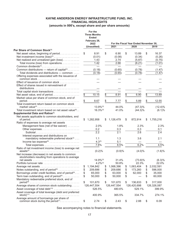|                                                                                                  | For the<br><b>Three Months</b><br><b>Ended</b><br>February 28, |                 |             |                 |                                        |                 |             |
|--------------------------------------------------------------------------------------------------|----------------------------------------------------------------|-----------------|-------------|-----------------|----------------------------------------|-----------------|-------------|
|                                                                                                  | 2022                                                           |                 |             |                 | For the Fiscal Year Ended November 30, |                 |             |
|                                                                                                  | (Unaudited)                                                    |                 | 2021        |                 | 2020                                   |                 | 2019        |
| Per Share of Common Stock <sup>(1)</sup>                                                         |                                                                |                 |             |                 |                                        |                 |             |
| Net asset value, beginning of period                                                             | \$<br>8.91                                                     | \$              | 6.90        | \$              | 13.89                                  | \$              | 16.37       |
| Net investment income (loss) <sup>(2)</sup>                                                      | (0.01)                                                         |                 | (0.08)      |                 | (0.34)                                 |                 | (0.26)      |
| Net realized and unrealized gain (loss)                                                          | 1.43                                                           |                 | 2.74        |                 | (5.87)                                 |                 | (0.75)      |
| Total income (loss) from operations.                                                             | 1.42                                                           |                 | 2.66        |                 | (6.21)                                 |                 | (1.01)      |
| Common distributions - return of capital <sup>(3)</sup> .                                        | (0.18)                                                         |                 | (0.65)      |                 | (0.78)                                 |                 | (1.47)      |
| Total dividends and distributions - common                                                       | (0.18)                                                         |                 | (0.65)      |                 | (0.78)                                 |                 | (1.47)      |
| Offering expenses associated with the issuance of                                                |                                                                |                 |             |                 |                                        |                 |             |
|                                                                                                  |                                                                |                 |             |                 |                                        |                 |             |
| Effect of issuance of common stock                                                               |                                                                |                 |             |                 |                                        |                 |             |
| Effect of shares issued in reinvestment of                                                       |                                                                |                 |             |                 |                                        |                 |             |
|                                                                                                  |                                                                |                 |             |                 |                                        |                 |             |
| Total capital stock transactions                                                                 |                                                                |                 |             |                 |                                        |                 |             |
| Net asset value, end of period.                                                                  | \$<br>10.15                                                    | $\overline{\$}$ | 8.91        | $\overline{\$}$ | 6.90                                   | $\overline{\$}$ | 13.89       |
| Market value per share of common stock, end of                                                   |                                                                |                 |             |                 |                                        |                 |             |
|                                                                                                  | 8.67                                                           |                 | 7.77        | \$              | 5.89                                   | \$              | 12.55       |
| Total investment return based on common stock                                                    |                                                                |                 |             |                 |                                        |                 |             |
|                                                                                                  | $13.9\%$ <sup>(5)</sup>                                        |                 | 44.0%       |                 | $(47.3)\%$                             |                 | $(12.4)\%$  |
| Total investment return based on net asset value <sup>(6)</sup>                                  | $16.3\%$ <sup>(5)</sup>                                        |                 | 41.0%       |                 | $(44.3)\%$                             |                 | (6.1)%      |
| Supplemental Data and Ratios <sup>(7)</sup><br>Net assets applicable to common stockholders, end |                                                                |                 |             |                 |                                        |                 |             |
|                                                                                                  | \$<br>1,282,958                                                | \$              | 1,126,479   | \$              | 872,914                                | \$              | 1,755,216   |
| Ratio of expenses to average net assets                                                          |                                                                |                 |             |                 |                                        |                 |             |
| Management fees (net of fee waiver)                                                              | 2.0%                                                           |                 | 1.8%        |                 | 2.3%                                   |                 | 2.3%        |
|                                                                                                  | 0.2                                                            |                 | 0.3         |                 | 0.3                                    |                 | 0.1         |
| Subtotal                                                                                         | $\overline{2.2}$                                               |                 | 2.1         |                 | 2.6                                    |                 | 2.4         |
| Interest expense and distributions on                                                            |                                                                |                 |             |                 |                                        |                 |             |
| mandatory redeemable preferred stock <sup>(2)</sup>                                              | 1.1                                                            |                 | 1.3         |                 | 3.6                                    |                 | 2.1         |
| Income tax $expense^{(8)}$                                                                       | $4.3^{(5)}$                                                    |                 | 5.1         |                 |                                        |                 |             |
|                                                                                                  | 7.6%                                                           |                 | 8.5%        |                 | 6.2%                                   |                 | 4.5%        |
| Ratio of net investment income (loss) to average net                                             |                                                                |                 |             |                 |                                        |                 |             |
| $assets^{(2)} \ldots \ldots \ldots \ldots \ldots \ldots \ldots \ldots \ldots \ldots \ldots$      | $(0.2)\%$                                                      |                 | (0.9)%      |                 | $(4.0)\%$                              |                 | (1.6)%      |
| Net increase (decrease) in net assets to common                                                  |                                                                |                 |             |                 |                                        |                 |             |
| stockholders resulting from operations to average                                                | 14.9%(5)                                                       |                 | 31.4%       |                 | $(73.8)\%$                             |                 | (6.3)%      |
| Portfolio turnover rate                                                                          | $4.2\%^{(5)}$                                                  |                 | 50.8%       |                 | 22.3%                                  |                 | 22.0%       |
|                                                                                                  | \$<br>1,194,842                                                | \$              | 1,068,396   | \$              | 1,063,404                              | \$              | 2,032,591   |
| Notes outstanding, end of period <sup>(9)</sup>                                                  | \$<br>209.686                                                  | \$              | 209,686     | \$              | 173,260                                | \$              | 596,000     |
| Borrowings under credit facilities, end of period <sup>(9)</sup>                                 | \$<br>65,000                                                   | \$              | 63,000      | \$              | 62,000                                 | \$              | 35,000      |
| Term loan outstanding, end of period $(9)$                                                       | \$<br>50,000                                                   | \$              | 50,000      | \$              |                                        | \$              | 60,000      |
| Mandatory redeemable preferred stock, end of                                                     |                                                                |                 |             |                 |                                        |                 |             |
| $period(9)$                                                                                      | \$<br>101,670                                                  | \$              | 101,670     | \$              | 136,633                                | \$              | 317,000     |
| Average shares of common stock outstanding                                                       | 126,447,554                                                    |                 | 126,447,554 |                 | 126,420,698                            |                 | 126,326,087 |
| Asset coverage of total debt <sup>(10)</sup>                                                     | 526.5%                                                         |                 | 480.6%      |                 | 529.1%                                 |                 | 399.9%      |
| Asset coverage of total leverage (debt and preferred                                             |                                                                |                 |             |                 |                                        |                 |             |
| $stock)^{(11)}$                                                                                  | 400.9%                                                         |                 | 365.5%      |                 | 334.7%                                 |                 | 274.1%      |
| Average amount of borrowings per share of<br>common stock during the period <sup>(1)</sup> .     | \$<br>2.74                                                     | \$              | 2.43        | \$              | 2.88                                   | \$              | 6.09        |
|                                                                                                  |                                                                |                 |             |                 |                                        |                 |             |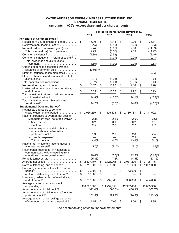|                                                              |                         |                  |                 |                  |                 | For the Fiscal Year Ended November 30, |                 |                    |
|--------------------------------------------------------------|-------------------------|------------------|-----------------|------------------|-----------------|----------------------------------------|-----------------|--------------------|
|                                                              |                         | 2018             |                 | 2017             |                 | 2016                                   |                 | 2015               |
| Per Share of Common Stock(1)                                 |                         |                  |                 |                  |                 |                                        |                 |                    |
| Net asset value, beginning of period                         | \$                      | 15.90            | \$              | 19.18            | \$              | 19.20                                  | \$              | 36.71              |
| Net investment income (loss) <sup>(2)</sup>                  |                         | (0.45)           |                 | (0.45)           |                 | (0.61)                                 |                 | (0.53)             |
| Net realized and unrealized gain (loss)                      |                         | 2.74             |                 | (0.92)           |                 | 2.80                                   |                 | (14.39)            |
| Total income (loss) from operations.                         |                         | 2.29             |                 | (1.37)           |                 | 2.19                                   |                 | (14.92)            |
|                                                              |                         | (1.80)           |                 | (0.53)           |                 |                                        |                 | (2.15)             |
| Common distributions - return of capital <sup>(3)</sup> . .  |                         |                  |                 | (1.37)           |                 | (2.20)                                 |                 | (0.48)             |
| Total dividends and distributions -                          |                         |                  |                 |                  |                 |                                        |                 |                    |
|                                                              |                         | (1.80)           |                 | (1.90)           |                 | (2.20)                                 |                 | (2.63)             |
| Offering expenses associated with the                        |                         |                  |                 |                  |                 |                                        |                 |                    |
| issuance of common stock                                     |                         | $(0.01)^{(12)}$  |                 |                  |                 |                                        |                 |                    |
| Effect of issuance of common stock                           |                         |                  |                 |                  |                 |                                        |                 | 0.03               |
| Effect of shares issued in reinvestment of                   |                         |                  |                 |                  |                 |                                        |                 |                    |
|                                                              |                         | (0.01)           |                 | (0.01)           |                 | (0.01)                                 |                 | 0.01               |
| Total capital stock transactions                             |                         | (0.02)           |                 | (0.01)           |                 | (0.01)                                 |                 | 0.04               |
| Net asset value, end of period.                              | $\overline{\mathbb{S}}$ | 16.37            | $\overline{\$}$ | 15.90            | $\overline{\$}$ | 19.18                                  | $\overline{\$}$ | 19.20              |
| Market value per share of common stock,                      |                         |                  |                 |                  |                 |                                        |                 |                    |
|                                                              | \$                      | 15.85            | \$              | 15.32            | \$              | 19.72                                  | \$              | 18.23              |
| Total investment return based on common                      |                         |                  |                 |                  |                 |                                        |                 |                    |
| stock market value <sup>(4)</sup>                            |                         | 14.8%            |                 | $(13.8)\%$       |                 | 24.1%                                  |                 | (47.7)%            |
| Total investment return based on net                         |                         |                  |                 |                  |                 |                                        |                 |                    |
|                                                              |                         | 14.2%            |                 | $(8.0)\%$        |                 | 14.6%                                  |                 | $(42.8)\%$         |
| Supplemental Data and Ratios <sup>(7)</sup>                  |                         |                  |                 |                  |                 |                                        |                 |                    |
| Net assets applicable to common                              |                         |                  |                 |                  |                 |                                        |                 |                    |
| stockholders, end of period                                  |                         | \$2,066,269      | \$              | 1,826,173        | \$              | 2,180,781                              | \$              | 2,141,602          |
| Ratio of expenses to average net assets                      |                         |                  |                 |                  |                 |                                        |                 |                    |
| Management fees (net of fee waiver)                          |                         | 2.3%             |                 | 2.5%             |                 | 2.5%                                   |                 | 2.6%               |
|                                                              |                         | 0.2              |                 | 0.1              |                 | 0.2                                    |                 | 0.1                |
|                                                              |                         | $\overline{2.5}$ |                 | $\overline{2.6}$ |                 | $\overline{2.7}$                       |                 | $\overline{2.7}$   |
| Interest expense and distributions                           |                         |                  |                 |                  |                 |                                        |                 |                    |
| on mandatory redeemable                                      |                         |                  |                 |                  |                 |                                        |                 |                    |
| preferred stock <sup>(2)</sup>                               |                         | 1.9              |                 | 2.0              |                 | 2.8                                    |                 | 2.4                |
| Income tax $expense^{(8)}$                                   |                         |                  |                 |                  |                 | 7.9                                    |                 |                    |
| Total expenses.                                              |                         | 4.4%             |                 | 4.6%             |                 | 13.4%                                  |                 | $\overline{5.1}\%$ |
| Ratio of net investment income (loss) to                     |                         |                  |                 |                  |                 |                                        |                 |                    |
| average net assets <sup>(2)</sup>                            |                         | $(2.5)\%$        |                 | $(2.4)\%$        |                 | $(3.4)\%$                              |                 | (1.8)%             |
| Net increase (decrease) in net assets to                     |                         |                  |                 |                  |                 |                                        |                 |                    |
| common stockholders resulting from                           |                         | 10.8%            |                 | $(7.5)\%$        |                 | 12.5%                                  |                 | $(51.7)\%$         |
| operations to average net assets<br>Portfolio turnover rate  |                         | 25.8%            |                 | 17.6%            |                 | 14.5%                                  |                 | 17.1%              |
|                                                              |                         |                  |                 |                  |                 |                                        |                 |                    |
|                                                              | \$                      | 2,127,407        | \$              | 2,128,965        | \$              | 2,031,206                              |                 | \$3,195,445        |
| Notes outstanding, end of period <sup>(9)</sup>              | \$                      | 716,000          | \$              | 747,000          | \$              | 767,000                                | \$              | 1,031,000          |
| Borrowings under credit facilities, end of<br>$period^{(9)}$ | \$                      | 39,000           | \$              |                  |                 | 43,000                                 |                 |                    |
| Term loan outstanding, end of period $(9)$                   | \$                      | 60,000           | \$              |                  | \$<br>\$        |                                        | \$<br>\$        |                    |
| Mandatory redeemable preferred stock,                        |                         |                  |                 |                  |                 |                                        |                 |                    |
|                                                              | \$                      | 317,000          | \$              | 292,000          | \$              | 300,000                                | \$              | 464,000            |
| Average shares of common stock                               |                         |                  |                 |                  |                 |                                        |                 |                    |
|                                                              |                         | 118,725,060      |                 | 114,292,056      |                 | 112,967,480                            |                 | 110,809,350        |
| Asset coverage of total debt <sup>(10)</sup>                 |                         | 392.4%           |                 | 383.6%           |                 | 406.3%                                 |                 | 352.7%             |
| Asset coverage of total leverage (debt and                   |                         |                  |                 |                  |                 |                                        |                 |                    |
|                                                              |                         | 282.5%           |                 | 275.8%           |                 | 296.5%                                 |                 | 243.3%             |
| Average amount of borrowings per share                       |                         |                  |                 |                  |                 |                                        |                 |                    |
| of common stock during the period(1).                        | \$                      | 6.52             | \$              | 7.03             | \$              | 7.06                                   | \$              | 11.95              |
|                                                              |                         |                  |                 |                  |                 |                                        |                 |                    |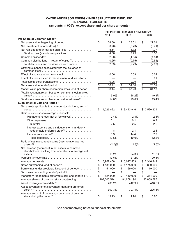|                                                                                                          | For the Fiscal Year Ended November 30, |             |                      |             |                    |             |
|----------------------------------------------------------------------------------------------------------|----------------------------------------|-------------|----------------------|-------------|--------------------|-------------|
|                                                                                                          |                                        | 2014        |                      | 2013        |                    | 2012        |
| Per Share of Common Stock <sup>(1)</sup>                                                                 |                                        |             |                      |             |                    |             |
|                                                                                                          | \$                                     | 34.30       | \$                   | 28.51       | \$                 | 27.01       |
|                                                                                                          |                                        | (0.76)      |                      | (0.73)      |                    | (0.71)      |
| Net realized and unrealized gain (loss)                                                                  |                                        | 5.64        |                      | 8.72        |                    | 4.27        |
| Total income (loss) from operations.                                                                     |                                        | 4.88        |                      | 7.99        |                    | 3.56        |
|                                                                                                          |                                        | (2.28)      |                      | (1.54)      |                    | (1.54)      |
| Common distributions — return of capital <sup>(3)</sup> .                                                |                                        | (0.25)      |                      | (0.75)      |                    | (0.55)      |
| Total dividends and distributions - common                                                               |                                        | (2.53)      |                      | (2.29)      |                    | (2.09)      |
| Offering expenses associated with the issuance of                                                        |                                        |             |                      |             |                    |             |
|                                                                                                          |                                        | 0.06        |                      | 0.09        |                    | 0.02        |
| Effect of shares issued in reinvestment of distributions.                                                |                                        |             |                      |             |                    | 0.01        |
|                                                                                                          |                                        | 0.06        |                      | 0.09        |                    | 0.03        |
| Net asset value, end of period                                                                           | \$                                     | 36.71       | \$                   | 34.30       | \$                 | 28.51       |
| Market value per share of common stock, end of period.                                                   |                                        | 38.14       | $\bar{\mathfrak{s}}$ | 37.23       | $\bar{\mathbb{s}}$ | 31.13       |
| Total investment return based on common stock market                                                     |                                        | 9.9%        |                      | 28.2%       |                    | 19.3%       |
| Total investment return based on net asset value <sup>(6)</sup> .                                        |                                        | 14.8%       |                      | 29.0%       |                    | 13.4%       |
| Supplemental Data and Ratios(7)                                                                          |                                        |             |                      |             |                    |             |
| Net assets applicable to common stockholders, end of                                                     |                                        |             |                      |             |                    |             |
|                                                                                                          | \$                                     | 4,026,822   |                      | \$3,443,916 |                    | \$2,520,821 |
| Ratio of expenses to average net assets                                                                  |                                        |             |                      |             |                    |             |
| Management fees (net of fee waiver)                                                                      |                                        | 2.4%        |                      | 2.4%        |                    | 2.4%        |
| Other expenses                                                                                           |                                        | 0.1         |                      | 0.1         |                    | 0.2         |
|                                                                                                          |                                        | 2.5         |                      | 2.5         |                    | 2.6         |
| Interest expense and distributions on mandatory<br>redeemable preferred stock <sup>(2)</sup>             |                                        | 1.8         |                      | 2.1         |                    | 2.4         |
|                                                                                                          |                                        | 8.3         |                      | 14.4        |                    | 7.2         |
|                                                                                                          |                                        | 12.6%       |                      | 19.0%       |                    | 12.2%       |
| Ratio of net investment income (loss) to average net                                                     |                                        |             |                      |             |                    |             |
| $assets^{(2)} \ldots \ldots \ldots \ldots \ldots \ldots \ldots \ldots \ldots \ldots \ldots \ldots$       |                                        | $(2.0)\%$   |                      | $(2.3)\%$   |                    | $(2.5)\%$   |
| Net increase (decrease) in net assets to common<br>stockholders resulting from operations to average net |                                        |             |                      |             |                    |             |
|                                                                                                          |                                        | 13.2%       |                      | 24.3%       |                    | 11.6%       |
|                                                                                                          |                                        | 17.6%       |                      | 21.2%       |                    | 20.4%       |
|                                                                                                          | \$                                     | 3,967,458   |                      | \$3,027,563 |                    | \$2,346,249 |
|                                                                                                          |                                        | 1,435,000   |                      | \$1,175,000 |                    | \$890,000   |
| Borrowings under credit facilities, end of period <sup>(9)</sup>                                         | \$                                     | 51,000      | \$                   | 69,000      | \$                 | 19,000      |
| Term loan outstanding, end of period <sup>(9)</sup>                                                      | \$                                     |             | \$                   |             | \$                 |             |
| Mandatory redeemable preferred stock, end of period <sup>(9)</sup>                                       | \$                                     | 524,000     | \$                   | 449,000     | \$                 | 374,000     |
| Average shares of common stock outstanding                                                               |                                        | 107,305,514 |                      | 94,658,194  |                    | 82,809,687  |
| Asset coverage of total debt <sup>(10)</sup>                                                             |                                        | 406.2%      |                      | 412.9%      |                    | 418.5%      |
| Asset coverage of total leverage (debt and preferred                                                     |                                        | 300.3%      |                      | 303.4%      |                    | 296.5%      |
| Average amount of borrowings per share of common                                                         | \$                                     | 13.23       | \$                   | 11.70       | \$                 | 10.80       |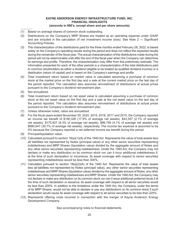- (1) Based on average shares of common stock outstanding.
- (2) Distributions on the Company's MRP Shares are treated as an operating expense under GAAP and are included in the calculation of net investment income (loss). See Note 2 — Significant Accounting Policies.
- (3) The characterization of the distributions paid for the three months ended February 28, 2022, is based solely on the Company's operating results during the period and does not reflect the expected results during the remainder of the fiscal year. The actual characterization of the distributions made during the period will not be determinable until after the end of the fiscal year when the Company can determine its earnings and profits. Therefore, the characterization may differ from this preliminary estimate. The information presented for each of the other periods is a characterization of the total distributions paid to common stockholders as either a dividend (eligible to be treated as qualified dividend income) or a distribution (return of capital) and is based on the Company's earnings and profits.
- (4) Total investment return based on market value is calculated assuming a purchase of common stock at the market price on the first day and a sale at the current market price on the last day of the period reported. The calculation also assumes reinvestment of distributions at actual prices pursuant to the Company's dividend reinvestment plan.
- (5) Not annualized.
- (6) Total investment return based on net asset value is calculated assuming a purchase of common stock at the net asset value on the first day and a sale at the net asset value on the last day of the period reported. The calculation also assumes reinvestment of distributions at actual prices pursuant to the Company's dividend reinvestment plan.
- (7) Unless otherwise noted, ratios are annualized.
- (8) For the fiscal years ended November 30, 2020, 2019, 2018, 2017 and 2015, the Company reported an income tax benefit of \$190,326 (17.9% of average net assets), \$43,357 (2.1% of average net assets), \$175,827 (8.3% of average net assets), \$86,746 (4.1% of average net assets) and \$980,647 (30.7% of average net assets), respectively. The income tax expense is assumed to be 0% because the Company reported a net deferred income tax benefit during the period.
- (9) Principal/liquidation value.
- (10) Calculated pursuant to section 18(a)(1)(A) of the 1940 Act. Represents the value of total assets less all liabilities not represented by Notes (principal value) or any other senior securities representing indebtedness and MRP Shares (liquidation value) divided by the aggregate amount of Notes and any other senior securities representing indebtedness. Under the 1940 Act, the Company may not declare or make any distribution on its common stock nor can it incur additional indebtedness if, at the time of such declaration or incurrence, its asset coverage with respect to senior securities representing indebtedness would be less than 300%.
- (11) Calculated pursuant to section 18(a)(2)(A) of the 1940 Act. Represents the value of total assets less all liabilities not represented by Notes (principal value), any other senior securities representing indebtedness and MRP Shares (liquidation value) divided by the aggregate amount of Notes, any other senior securities representing indebtedness and MRP Shares. Under the 1940 Act, the Company may not declare or make any distribution on its common stock nor can it issue additional preferred stock if at the time of such declaration or issuance, its asset coverage with respect to all senior securities would be less than 200%. In addition to the limitations under the 1940 Act, the Company, under the terms of its MRP Shares, would not be able to declare or pay any distributions on its common stock if such declaration would cause its asset coverage with respect to all senior securities to be less than 225%.
- (12) Represents offering costs incurred in connection with the merger of Kayne Anderson Energy Development Company.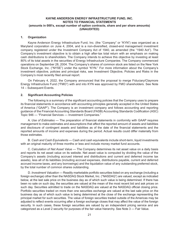#### **1. Organization**

Kayne Anderson Energy Infrastructure Fund, Inc. (the "Company" or "KYN") was organized as a Maryland corporation on June 4, 2004, and is a non-diversified, closed-end management investment company registered under the Investment Company Act of 1940, as amended (the "1940 Act"). The Company's investment objective is to obtain a high after-tax total return with an emphasis on making cash distributions to shareholders. The Company intends to achieve this objective by investing at least 80% of its total assets in the securities of Energy Infrastructure Companies. The Company commenced operations on September 28, 2004. The Company's shares of common stock are listed on the New York Stock Exchange, Inc. ("NYSE") under the symbol "KYN." For more information about the Company's investment objective, policies and principal risks, see Investment Objective, Policies and Risks in the Company's most recently filed annual report.

On February 4, 2022, the Company announced that the proposal to merge Fiduciary/Claymore Energy Infrastructure Fund ("FMO") with and into KYN was approved by FMO shareholders. See Note 14 – Subsequent Events.

#### **2. Significant Accounting Policies**

The following is a summary of the significant accounting policies that the Company uses to prepare its financial statements in accordance with accounting principles generally accepted in the United States of America ("GAAP"). The Company is an investment company and follows accounting and reporting guidance of the Financial Accounting Standards Board (FASB) Accounting Standards Codification (ASC) Topic 946 — "Financial Services — Investment Companies."

A. *Use of Estimates* — The preparation of financial statements in conformity with GAAP requires management to make estimates and assumptions that affect the reported amount of assets and liabilities and disclosure of contingent assets and liabilities as of the date of the financial statements and the reported amounts of income and expenses during the period. Actual results could differ materially from those estimates.

B. *Cash and Cash Equivalents* — Cash and cash equivalents include short-term, liquid investments with an original maturity of three months or less and include money market fund accounts.

C. *Calculation of Net Asset Value* — The Company determines its net asset value on a daily basis and reports its net asset value on its website. Net asset value is computed by dividing the value of the Company's assets (including accrued interest and distributions and current and deferred income tax assets), less all of its liabilities (including accrued expenses, distributions payable, current and deferred accrued income taxes, and any borrowings) and the liquidation value of any outstanding preferred stock, by the total number of common shares outstanding.

D. *Investment Valuation* — Readily marketable portfolio securities listed on any exchange (including a foreign exchange) other than the NASDAQ Stock Market, Inc. ("NASDAQ") are valued, except as indicated below, at the last sale price on the business day as of which such value is being determined. If there has been no sale on such day, the securities are valued at the mean of the most recent bid and ask prices on such day. Securities admitted to trade on the NASDAQ are valued at the NASDAQ official closing price. Portfolio securities traded on more than one securities exchange are valued at the last sale price on the business day as of which such value is being determined at the close of the exchange representing the principal market for such securities. The value of foreign securities traded outside of the Americas may be adjusted to reflect events occurring after a foreign exchange closes that may affect the value of the foreign security. In such cases, these foreign securities are valued by an independent pricing service and are categorized as a Level 2 security for purposes of the fair value hierarchy. See Note 3 — Fair Value.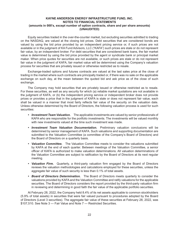Equity securities traded in the over-the-counter market, but excluding securities admitted to trading on the NASDAQ, are valued at the closing bid prices. Debt securities that are considered bonds are valued by using the bid price provided by an independent pricing service or, if such prices are not available or in the judgment of KA Fund Advisors, LLC ("KAFA") such prices are stale or do not represent fair value, by an independent broker. For debt securities that are considered bank loans, the fair market value is determined by using the bid price provided by the agent or syndicate bank or principal market maker. When price quotes for securities are not available, or such prices are stale or do not represent fair value in the judgment of KAFA, fair market value will be determined using the Company's valuation process for securities that are privately issued or otherwise restricted as to resale.

Exchange-traded options and futures contracts are valued at the last sales price at the close of trading in the market where such contracts are principally traded or, if there was no sale on the applicable exchange on such day, at the mean between the quoted bid and ask price as of the close of such exchange.

The Company may hold securities that are privately issued or otherwise restricted as to resale. For these securities, as well as any security for which (a) reliable market quotations are not available in the judgment of KAFA, or (b) the independent pricing service or independent broker does not provide prices or provides a price that in the judgment of KAFA is stale or does not represent fair value, each shall be valued in a manner that most fairly reflects fair value of the security on the valuation date. Unless otherwise determined by the Board of Directors, the following valuation process is used for such securities:

- *• Investment Team Valuation.* The applicable investments are valued by senior professionals of KAFA who are responsible for the portfolio investments. The investments will be valued monthly with new investments valued at the time such investment was made.
- *• Investment Team Valuation Documentation.* Preliminary valuation conclusions will be determined by senior management of KAFA. Such valuations and supporting documentation are submitted to the Valuation Committee (a committee of the Company's Board of Directors) and the Board of Directors on a quarterly basis.
- *• Valuation Committee.* The Valuation Committee meets to consider the valuations submitted by KAFA at the end of each quarter. Between meetings of the Valuation Committee, a senior officer of KAFA is authorized to make valuation determinations. All valuation determinations of the Valuation Committee are subject to ratification by the Board of Directors at its next regular meeting.
- *• Valuation Firm.* Quarterly, a third-party valuation firm engaged by the Board of Directors reviews the valuation methodologies and calculations employed for these securities, unless the aggregate fair value of such security is less than 0.1% of total assets.
- *• Board of Directors Determination.* The Board of Directors meets quarterly to consider the valuations provided by KAFA and the Valuation Committee and ratify valuations for the applicable securities. The Board of Directors considers the report provided by the third-party valuation firm in reviewing and determining in good faith the fair value of the applicable portfolio securities.

At February 28, 2022, the Company held 8.4% of its net assets applicable to common stockholders (5.9% of total assets) in securities that were fair valued pursuant to procedures adopted by the Board of Directors (Level 3 securities). The aggregate fair value of these securities at February 28, 2022, was \$107,510. See Note 3 — Fair Value and Note 7 — Restricted Securities.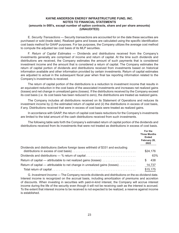E. *Security Transactions* — Security transactions are accounted for on the date these securities are purchased or sold (trade date). Realized gains and losses are calculated using the specific identification cost basis method for GAAP purposes. For tax purposes, the Company utilizes the average cost method to compute the adjusted tax cost basis of its MLP securities.

F. *Return of Capital Estimates*  — Dividends and distributions received from the Company's investments generally are comprised of income and return of capital. At the time such dividends and distributions are received, the Company estimates the amount of such payments that is considered investment income and the amount that is considered a return of capital. The Company estimates the return of capital portion of dividends and distributions received from investments based on historical information available and other information provided by certain investments. Return of capital estimates are adjusted to actual in the subsequent fiscal year when final tax reporting information related to the Company's investments is received.

The return of capital portion of the distributions is a reduction to investment income that results in an equivalent reduction in the cost basis of the associated investments and increases net realized gains (losses) and net change in unrealized gains (losses). If the distributions received by the Company exceed its cost basis (*i.e*. its cost basis has been reduced to zero), the distributions are treated as realized gains.

The Company includes all distributions received on its Statement of Operations and reduces its investment income by (i) the estimated return of capital and (ii) the distributions in excess of cost basis, if any. Distributions received that were in excess of cost basis were treated as realized gains.

In accordance with GAAP, the return of capital cost basis reductions for the Company's investments are limited to the total amount of the cash distributions received from such investments.

The following table sets forth the Company's estimated return of capital portion of the dividends and distributions received from its investments that were not treated as distributions in excess of cost basis.

|                                                                                   | For the<br><b>Three Months</b><br><b>Ended</b><br>February 28,<br>2022 |
|-----------------------------------------------------------------------------------|------------------------------------------------------------------------|
| Dividends and distributions (before foreign taxes withheld of \$331 and excluding | \$24,176                                                               |
| Dividends and distributions — % return of capital                                 | 63%                                                                    |
| Return of capital — attributable to net realized gains (losses)                   | 438<br>S                                                               |
| Return of capital — attributable to net change in unrealized gains (losses)       | 14,737                                                                 |
|                                                                                   | \$15,175                                                               |

G. *Investment Income* — The Company records dividends and distributions on the ex-dividend date. Interest income is recognized on the accrual basis, including amortization of premiums and accretion of discounts. When investing in securities with paid-in-kind interest, the Company will accrue interest income during the life of the security even though it will not be receiving cash as the interest is accrued. To the extent that interest income to be received is not expected to be realized, a reserve against income is established.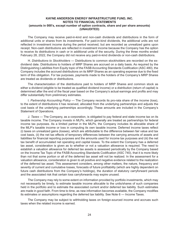The Company may receive paid-in-kind and non-cash dividends and distributions in the form of additional units or shares from its investments. For paid-in-kind dividends, the additional units are not reflected in investment income during the period received, but are recorded as unrealized gains upon receipt. Non-cash distributions are reflected in investment income because the Company has the option to receive its distributions in cash or in additional units of the security. During the three months ended February 28, 2022, the Company did not receive any paid-in-kind dividends or non-cash distributions.

H. *Distributions to Stockholders* — Distributions to common stockholders are recorded on the exdividend date. Distributions to holders of MRP Shares are accrued on a daily basis. As required by the Distinguishing Liabilities from Equity topic of the FASB Accounting Standards Codification (ASC 480), the Company includes the accrued distributions on its MRP Shares as an operating expense due to the fixed term of this obligation. For tax purposes, payments made to the holders of the Company's MRP Shares are treated as dividends or distributions.

The characterization of the distributions paid to holders of MRP Shares and common stock as either a dividend (eligible to be treated as qualified dividend income) or a distribution (return of capital) is determined after the end of the fiscal year based on the Company's actual earnings and profits and may differ substantially from preliminary estimates.

I. *Partnership Accounting Policy* — The Company records its pro-rata share of the income (loss), to the extent of distributions it has received, allocated from the underlying partnerships and adjusts the cost basis of the underlying partnerships accordingly. These amounts are included in the Company's Statement of Operations.

J. *Taxes* — The Company, as a corporation, is obligated to pay federal and state income tax on its taxable income. The Company invests in MLPs, which generally are treated as partnerships for federal income tax purposes. As a limited partner in the MLPs, the Company includes its allocable share of the MLP's taxable income or loss in computing its own taxable income. Deferred income taxes reflect (i) taxes on unrealized gains (losses), which are attributable to the difference between fair value and tax cost basis, (ii) the net tax effects of temporary differences between the carrying amounts of assets and liabilities for financial reporting purposes and the amounts used for income tax purposes and (iii) the net tax benefit of accumulated net operating and capital losses. To the extent the Company has a deferred tax asset, consideration is given as to whether or not a valuation allowance is required. The need to establish a valuation allowance for deferred tax assets is assessed periodically by the Company based on the Income Tax Topic of the FASB Accounting Standards Codification (ASC 740), that it is more likely than not that some portion or all of the deferred tax asset will not be realized. In the assessment for a valuation allowance, consideration is given to all positive and negative evidence related to the realization of the deferred tax asset. This assessment considers, among other matters, the nature, frequency and severity of current and cumulative losses, forecasts of future profitability (which are highly dependent on future cash distributions from the Company's holdings), the duration of statutory carryforward periods and the associated risk that certain loss carryforwards may expire unused.

The Company may rely to some extent on information provided by portfolio investments, which may not necessarily be timely, to estimate taxable income allocable to the units/shares of such companies held in the portfolio and to estimate the associated current and/or deferred tax liability. Such estimates are made in good faith. From time to time, as new information becomes available, the Company modifies its estimates or assumptions regarding the deferred tax liability. See Note 6 — Income Taxes.

The Company may be subject to withholding taxes on foreign-sourced income and accrues such taxes when the related income is earned.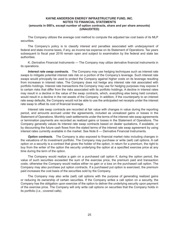The Company utilizes the average cost method to compute the adjusted tax cost basis of its MLP securities.

The Company's policy is to classify interest and penalties associated with underpayment of federal and state income taxes, if any, as income tax expense on its Statement of Operations. Tax years subsequent to fiscal year 2016 remain open and subject to examination by the federal and state tax authorities.

K. *Derivative Financial Instruments* — The Company may utilize derivative financial instruments in its operations.

*Interest rate swap contracts.* The Company may use hedging techniques such as interest rate swaps to mitigate potential interest rate risk on a portion of the Company's leverage. Such interest rate swaps would principally be used to protect the Company against higher costs on its leverage resulting from increases in interest rates. The Company does not hedge any interest rate risk associated with portfolio holdings. Interest rate transactions the Company may use for hedging purposes may expose it to certain risks that differ from the risks associated with its portfolio holdings. A decline in interest rates may result in a decline in the value of the swap contracts, which, everything else being held constant, would result in a decline in the net assets of the Company. In addition, if the counterparty to an interest rate swap defaults, the Company would not be able to use the anticipated net receipts under the interest rate swap to offset its cost of financial leverage.

Interest rate swap contracts are recorded at fair value with changes in value during the reporting period, and amounts accrued under the agreements, included as unrealized gains or losses in the Statement of Operations. Monthly cash settlements under the terms of the interest rate swap agreements or termination payments are recorded as realized gains or losses in the Statement of Operations. The Company generally values its interest rate swap contracts based on dealer quotations, if available, or by discounting the future cash flows from the stated terms of the interest rate swap agreement by using interest rates currently available in the market. See Note 8 — Derivative Financial Instruments.

**Option contracts.** The Company is also exposed to financial market risks including changes in the valuations of its investment portfolio. The Company may purchase or write (sell) call options. A call option on a security is a contract that gives the holder of the option, in return for a premium, the right to buy from the writer of the option the security underlying the option at a specified exercise price at any time during the term of the option.

The Company would realize a gain on a purchased call option if, during the option period, the value of such securities exceeded the sum of the exercise price, the premium paid and transaction costs; otherwise the Company would realize either no gain or a loss on the purchased call option. The Company may also purchase put option contracts. If a purchased put option is exercised, the premium paid increases the cost basis of the securities sold by the Company.

The Company may also write (sell) call options with the purpose of generating realized gains or reducing its ownership of certain securities. If the Company writes a call option on a security, the Company has the obligation upon exercise of the option to deliver the underlying security upon payment of the exercise price. The Company will only write call options on securities that the Company holds in its portfolio (*i.e*., covered calls).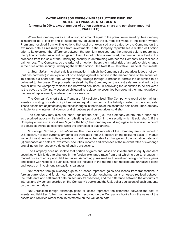When the Company writes a call option, an amount equal to the premium received by the Company is recorded as a liability and is subsequently adjusted to the current fair value of the option written. Premiums received from writing options that expire unexercised are treated by the Company on the expiration date as realized gains from investments. If the Company repurchases a written call option prior to its exercise, the difference between the premium received and the amount paid to repurchase the option is treated as a realized gain or loss. If a call option is exercised, the premium is added to the proceeds from the sale of the underlying security in determining whether the Company has realized a gain or loss. The Company, as the writer of an option, bears the market risk of an unfavorable change in the price of the security underlying the written option. See Note 8 — Derivative Financial Instruments.

L. *Short Sales* — A short sale is a transaction in which the Company sells securities it does not own (but has borrowed) in anticipation of or to hedge against a decline in the market price of the securities. To complete a short sale, the Company may arrange through a broker to borrow the securities to be delivered to the buyer. The proceeds received by the Company for the short sale are retained by the broker until the Company replaces the borrowed securities. In borrowing the securities to be delivered to the buyer, the Company becomes obligated to replace the securities borrowed at their market price at the time of replacement, whatever the price may be.

The Company's short sales, if any, are fully collateralized. The Company is required to maintain assets consisting of cash or liquid securities equal in amount to the liability created by the short sale. These assets are adjusted daily to reflect changes in the value of the securities sold short. The Company is liable for any interest, dividends or distributions paid on securities sold short.

The Company may also sell short "against the box" (i.e., the Company enters into a short sale as described above while holding an offsetting long position in the security which it sold short). If the Company enters into a short sale "against the box," the Company would segregate an equivalent amount of securities owned as collateral while the short sale is outstanding.

M. *Foreign Currency Translations* — The books and records of the Company are maintained in U.S. dollars. Foreign currency amounts are translated into U.S. dollars on the following basis: (i) market value of investment securities, assets and liabilities at the rate of exchange as of the valuation date; and (ii) purchases and sales of investment securities, income and expenses at the relevant rates of exchange prevailing on the respective dates of such transactions.

The Company does not isolate that portion of gains and losses on investments in equity and debt securities which is due to changes in the foreign exchange rates from that which is due to changes in market prices of equity and debt securities. Accordingly, realized and unrealized foreign currency gains and losses with respect to such securities are included in the reported net realized and unrealized gains and losses on investment transactions balances.

Net realized foreign exchange gains or losses represent gains and losses from transactions in foreign currencies and foreign currency contracts, foreign exchange gains or losses realized between the trade date and settlement date on security transactions, and the difference between the amounts of interest and dividends recorded on the Company's books and the U.S. dollar equivalent of such amounts on the payment date.

Net unrealized foreign exchange gains or losses represent the difference between the cost of assets and liabilities (other than investments) recorded on the Company's books from the value of the assets and liabilities (other than investments) on the valuation date.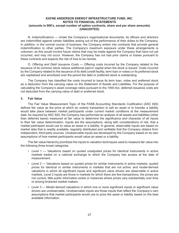N. *Indemnifications* — Under the Company's organizational documents, its officers and directors are indemnified against certain liabilities arising out of the performance of their duties to the Company. In addition, in the normal course of business, the Company enters into contracts that provide general indemnification to other parties. The Company's maximum exposure under these arrangements is unknown, as this would involve future claims that may be made against the Company that have not yet occurred, and may not occur. However, the Company has not had prior claims or losses pursuant to these contracts and expects the risk of loss to be remote.

O. *Offering and Debt Issuance Costs* — Offering costs incurred by the Company related to the issuance of its common stock reduce additional paid-in capital when the stock is issued. Costs incurred by the Company related to the issuance of its debt (credit facility, term loan or notes) or its preferred stock are capitalized and amortized over the period the debt or preferred stock is outstanding.

The Company has classified the costs incurred to issue its term loan, notes and preferred stock as a deduction from the carrying value on the Statement of Assets and Liabilities. For the purpose of calculating the Company's asset coverage ratios pursuant to the 1940 Act, deferred issuance costs are not deducted from the carrying value of debt or preferred stock.

#### **3. Fair Value**

The Fair Value Measurement Topic of the FASB Accounting Standards Codification (ASC 820) defines fair value as the price at which an orderly transaction to sell an asset or to transfer a liability would take place between market participants under current market conditions at the measurement date. As required by ASC 820, the Company has performed an analysis of all assets and liabilities (other than deferred taxes) measured at fair value to determine the significance and character of all inputs to their fair value determination. Inputs are the assumptions, along with considerations of risk, that a market participant would use to value an asset or a liability. In general, observable inputs are based on market data that is readily available, regularly distributed and verifiable that the Company obtains from independent, third-party sources. Unobservable inputs are developed by the Company based on its own assumptions of how market participants would value an asset or a liability.

The fair value hierarchy prioritizes the inputs to valuation techniques used to measure fair value into the following three broad categories.

- Level 1 Valuations based on quoted unadjusted prices for identical instruments in active markets traded on a national exchange to which the Company has access at the date of measurement.
- *Level 2*  Valuations based on quoted prices for similar instruments in active markets; quoted prices for identical or similar instruments in markets that are not active; and model-derived valuations in which all significant inputs and significant value drivers are observable in active markets. Level 2 inputs are those in markets for which there are few transactions, the prices are not current, little public information exists or instances where prices vary substantially over time or among brokered market makers.
- *Level 3*  Model derived valuations in which one or more significant inputs or significant value drivers are unobservable. Unobservable inputs are those inputs that reflect the Company's own assumptions that market participants would use to price the asset or liability based on the best available information.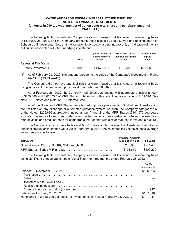The following table presents the Company's assets measured at fair value on a recurring basis at February 28, 2022, and the Company presents these assets by security type and description on its Schedule of Investments. Note that the valuation levels below are not necessarily an indication of the risk or liquidity associated with the underlying investment.

|                             | Total       | <b>Quoted Prices in</b><br><b>Active Markets</b><br>(Level 1) | <b>Prices with Other</b><br><b>Observable Inputs</b><br>(Level 2) | Unobservable<br>Inputs<br>(Level 3) |
|-----------------------------|-------------|---------------------------------------------------------------|-------------------------------------------------------------------|-------------------------------------|
| <b>Assets at Fair Value</b> |             |                                                               |                                                                   |                                     |
| Equity investments          | \$1.804.739 | \$1,678,881                                                   | $$18,348^{(1)}$                                                   | \$107.510                           |

(1) As of February 28, 2022, this amount represents the value of the Company's investment in Plains AAP, L.P. ("PAGP-AAP").

The Company did not have any liabilities that were measured at fair value on a recurring basis using significant unobservable inputs (Level 3) at February 28, 2022.

As of February 28, 2022, the Company had Notes outstanding with aggregate principal amount of \$209,686 and 4,066,795 of MRP Shares outstanding with a total liquidation value of \$101,670. See Note 11 — Notes and Note 12 — Preferred Stock.

All of the Notes and MRP Shares were issued in private placements to institutional investors and are not listed on any exchange or automated quotation system. As such, the Company categorizes all of the Notes (\$209,686 aggregate principal amount) and all of the MRP Shares (\$101,670 aggregate liquidation value) as Level 3 and determines the fair value of these instruments based on estimated market yields and credit spreads for comparable instruments with similar maturity, terms and structure.

The Company records these Notes and MRP Shares on its Statement of Assets and Liabilities at principal amount or liquidation value. As of February 28, 2022, the estimated fair values of these leverage instruments are as follows.

|                                              | <b>Principal Amount/</b> |                   |
|----------------------------------------------|--------------------------|-------------------|
| <b>Instrument</b>                            | <b>Liquidation Value</b> | <b>Fair Value</b> |
| Notes (Series CC, FF, GG, KK, MM through QQ) | \$209.686                | \$211,400         |
|                                              | \$101.670                | \$100.200         |

The following table presents the Company's assets measured at fair value on a recurring basis using significant unobservable inputs (Level 3) for the three months ended February 28, 2022.

|                                                                                     | Eauity<br><b>Investments</b> |
|-------------------------------------------------------------------------------------|------------------------------|
|                                                                                     | \$106,563                    |
|                                                                                     |                              |
|                                                                                     |                              |
|                                                                                     |                              |
|                                                                                     |                              |
|                                                                                     | 947                          |
|                                                                                     | \$107,510                    |
| Net change in unrealized gain (loss) of investments still held at February 28, 2022 | \$947                        |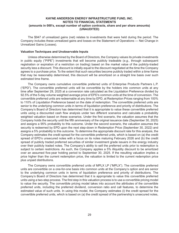The \$947 of unrealized gains (net) relates to investments that were held during the period. The Company includes these unrealized gains and losses on the Statement of Operations — Net Change in Unrealized Gains (Losses).

#### **Valuation Techniques and Unobservable Inputs**

Unless otherwise determined by the Board of Directors, the Company values its private investments in public equity ("PIPE") investments that will become publicly tradeable (*e.g.,* through subsequent registration or expiration of a restriction on trading) based on the market value of the publicly-traded security less a discount. This discount is initially equal to the discount negotiated at the time the Company agrees to a purchase price. To the extent that such securities become publicly traded within a time frame that may be reasonably determined, this discount will be amortized on a straight line basis over such estimated time frame.

The Company owns cumulative convertible preferred units of Enterprise Products Partners L.P. ("EPD"). The convertible preferred units will be convertible by the holders into common units at any time after September 29, 2025 at a conversion rate calculated as the Liquidation Preference divided by 92.5% of the 5-day volume weighted average price of EPD's common units at the time of conversion. The convertible preferred units are redeemable at any time by EPD, at Redemption Prices ranging from 100% to 110% of Liquidation Preference based on the date of redemption. The convertible preferred units are senior to the underlying common units in terms of liquidation preference and priority of distributions. The Company's Board of Directors has determined that it is appropriate to value these convertible preferred units using a discounted cash flow analysis under two different scenarios and calculate a probability weighted valuation based on these scenarios. Under the first scenario, the valuation assumes that the Company holds the security until the fifth anniversary of the original issuance date (September 30, 2025) and assigns a 95% probability to this outcome. Under the second scenario, the valuation assumes the security is redeemed by EPD upon the next step-down in Redemption Price (September 30, 2022) and assigns a 5% probability to this outcome. To determine the appropriate discount rate for this analysis, the Company estimates the credit spread for the convertible preferred units, which is based on (a) the credit spread of EPD's unsecured notes with a focus on its notes maturing February 2026 and (b) the credit spread of publicly traded preferred securities of similar investment grade issuers in the energy industry over their publicly traded notes. The Company's ability to sell the preferred units prior to redemption is subject to certain restrictions. As such, the Company applies a 5% illiquidity discount to be amortized over an assumed five-year holding period to September 30, 2025. If the resulting valuation implies a price higher than the current redemption price, the valuation is limited to the current redemption price plus unpaid distributions.

The Company owns convertible preferred units of MPLX LP ("MPLX"). The convertible preferred units are convertible on a one-for-one basis into common units at the Company's option and are senior to the underlying common units in terms of liquidation preference and priority of distributions. The Company's Board of Directors has determined that it is appropriate to value this convertible preferred units using a two-step process. The first step in this valuation process is to use a convertible pricing model to value the security. The convertible pricing model takes into account the attributes of the convertible preferred units, including the preferred dividend, conversion ratio and call features, to determine the estimated value of such units. In using this model, the Company estimates (i) the credit spread for the convertible preferred units, which is based on (a) the credit spread of the partnership's unsecured notes,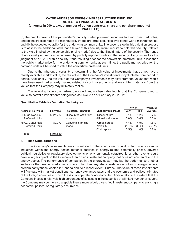(b) the credit spread of the partnership's publicly traded preferred securities to their unsecured notes, and (c) the credit spreads of similar publicly traded preferred securities over bonds with similar maturities, and (ii) the expected volatility for the underlying common units. The second step in this valuation process is to assess the additional yield that a buyer of this security would require to hold this security (relative to the yield implied by the convertible pricing model) due to the illiquid nature of the security. The range of additional yield required is informed by publicly reported trades in the security, if any, as well as the judgment of KAFA. For this security, if the resulting price for the convertible preferred units is less than the public market price for the underlying common units at such time, the public market price for the common units will be used to value the convertible preferred units.

Due to the inherent uncertainty of determining the fair value of investments that do not have a readily available market value, the fair value of the Company's investments may fluctuate from period to period. Additionally, the fair value of the Company's investments may differ from the values that would have been used had a ready market existed for such investments and may differ materially from the values that the Company may ultimately realize.

The following table summarizes the significant unobservable inputs that the Company used to value its portfolio investments categorized as Level 3 as of February 28, 2022:

**Range Weighted**

|                                                   |                   |                                    |                                                   | Range                    | Weighted                 |                       |
|---------------------------------------------------|-------------------|------------------------------------|---------------------------------------------------|--------------------------|--------------------------|-----------------------|
| <b>Assets at Fair Value</b>                       | <b>Fair Value</b> | <b>Valuation Technique</b>         | Unobservable Inputs                               | Low                      | High                     | Average               |
| <b>EPD Convertible</b><br><b>Preferred Units</b>  | \$24.737          | - Discounted cash flow<br>analysis | - Discount rate<br>- Illiquidity discount         | $3.1\%$<br>3.6%          | 4.2%<br>3.6%             | 3.7%<br>3.6%          |
| <b>MPLX Convertible</b><br><b>Preferred Units</b> | 82.773            | - Convertible pricing<br>model     | - Credit spread<br>- Volatility<br>- Yield spread | $4.4\%$<br>20.0%<br>0.5% | 4.9%<br>30.0%<br>$1.0\%$ | 4.6%<br>25.0%<br>0.8% |
| Total                                             | \$107,510         |                                    |                                                   |                          |                          |                       |

#### **Quantitative Table for Valuation Techniques**

#### **4. Risk Considerations**

The Company's investments are concentrated in the energy sector. A downturn in one or more industries within the energy sector, material declines in energy-related commodity prices, adverse political, legislative or regulatory developments or environmental, catastrophic or other events could have a larger impact on the Company than on an investment company that does not concentrate in the energy sector. The performance of companies in the energy sector may lag the performance of other sectors or the broader market as a whole. The Company also invests in securities of foreign issuers, predominantly those located in Canada and, to a lesser extent, Europe. The value of those investments will fluctuate with market conditions, currency exchange rates and the economic and political climates of the foreign countries in which the issuers operate or are domiciled. Additionally, to the extent that the Company invests a relatively high percentage of its assets in the securities of a limited number of issuers, the Company may be more susceptible than a more widely diversified investment company to any single economic, political or regulatory occurrence.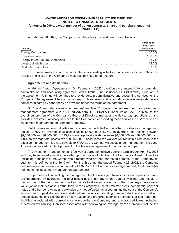At February 28, 2022, the Company had the following investment concentrations:

| Category | Percent of<br>Long-Term<br>Investments |
|----------|----------------------------------------|
|          | 100.0%                                 |
|          | 100.0%                                 |
|          | 98.7%                                  |
|          | 12.3%                                  |
|          | 7.0%                                   |

For more information about the principal risks of investing in the Company, see Investment Objective, Policies and Risks in the Company's most recently filed annual report.

#### **5. Agreements and Affiliations**

A. *Administration Agreement* — On February 1, 2022, the Company entered into an amended administration and accounting agreement with Ultimus Fund Solutions, LLC ("Ultimus"). Pursuant to the agreement, Ultimus will continue to provide certain administrative and accounting services for the Company. The agreement has an initial term of three years and automatic one-year renewals unless earlier terminated by either party as provided under the terms of the agreement.

B. *Investment Management Agreement*  — The Company has entered into an investment management agreement with KA Fund Advisors, LLC ("KAFA") under which KAFA, subject to the overall supervision of the Company's Board of Directors, manages the day-to-day operations of, and provides investment advisory services to, the Company. For providing these services, KAFA receives an investment management fee from the Company.

KAFA has also entered into a fee waiver agreement with the Company that provides for a management fee of 1.375% on average total assets up to \$4,000,000; 1.25% on average total assets between \$4,000,000 and \$6,000,000; 1.125% on average total assets between \$6,000,000 and \$8,000,000; and 1.0% on average total assets over \$8,000,000. These tiered fee waivers will result in a reduction to the effective management fee rate payable to KAFA as the Company's assets under management increase. Any amount waived by KAFA pursuant to the fee waiver agreement may not be recouped.

The investment management and fee waiver agreements have a current term through April 30, 2023 and may be renewed annually thereafter upon approval of KAFA and the Company's Board of Directors (including a majority of the Company's directors who are not "interested persons" of the Company, as such term is defined in the 1940 Act). For the three months ended February 28, 2022, the Company paid management fees at an annual rate of 1.375% of the Company's average quarterly total assets (as defined in the investment management agreement).

For purposes of calculating the management fee the average total assets for each quarterly period are determined by averaging the total assets at the last day of that quarter with the total assets at the last day of the prior quarter. The Company's total assets are equal to the Company's gross asset value (which includes assets attributable to the Company's use of preferred stock, commercial paper or notes and other borrowings and excludes any net deferred tax asset), minus the sum of the Company's accrued and unpaid dividends and distributions on any outstanding common stock and accrued and unpaid dividends and distributions on any outstanding preferred stock and accrued liabilities (other than liabilities associated with borrowing or leverage by the Company and any accrued taxes, including, a deferred tax liability). Liabilities associated with borrowing or leverage by the Company include the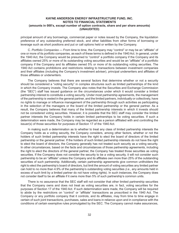principal amount of any borrowings, commercial paper or notes issued by the Company, the liquidation preference of any outstanding preferred stock, and other liabilities from other forms of borrowing or leverage such as short positions and put or call options held or written by the Company.

C. *Portfolio Companies* — From time to time, the Company may "control" or may be an "affiliate" of one or more of its portfolio companies, as each of these terms is defined in the 1940 Act. In general, under the 1940 Act, the Company would be presumed to "control" a portfolio company if the Company and its affiliates owned 25% or more of its outstanding voting securities and would be an "affiliate" of a portfolio company if the Company and its affiliates owned 5% or more of its outstanding voting securities. The 1940 Act contains prohibitions and restrictions relating to transactions between investment companies and their affiliates (including the Company's investment adviser), principal underwriters and affiliates of those affiliates or underwriters.

The Company believes that there are several factors that determine whether or not a security should be considered a "voting security" in complex structures such as limited partnerships of the kind in which the Company invests. The Company also notes that the Securities and Exchange Commission (the "SEC") staff has issued guidance on the circumstances under which it would consider a limited partnership interest to constitute a voting security. Under most partnership agreements, the management of the partnership is vested in the general partner, and the limited partners, individually or collectively, have no rights to manage or influence management of the partnership through such activities as participating in the selection of the managers or the board of the limited partnership or the general partner. As a result, the Company believes that many of the limited partnership interests in which it invests should not be considered voting securities. However, it is possible that the SEC staff may consider the limited partner interests the Company holds in certain limited partnerships to be voting securities. If such a determination were made, the Company may be regarded as a person affiliated with and controlling the issuer(s) of those securities for purposes of Section 17 of the 1940 Act.

In making such a determination as to whether to treat any class of limited partnership interests the Company holds as a voting security, the Company considers, among other factors, whether or not the holders of such limited partnership interests have the right to elect the board of directors of the limited partnership or the general partner. If the holders of such limited partnership interests do not have the right to elect the board of directors, the Company generally has not treated such security as a voting security. In other circumstances, based on the facts and circumstances of those partnership agreements, including the right to elect the directors of the general partner, the Company has treated those securities as voting securities. If the Company does not consider the security to be a voting security, it will not consider such partnership to be an "affiliate" unless the Company and its affiliates own more than 25% of the outstanding securities of such partnership. Additionally, certain partnership agreements give common unitholders the right to elect the partnership's board of directors, but limit the amount of voting securities any limited partner can hold to no more than 4.9% of the partnership's outstanding voting securities *(i.e.*, any amounts held in excess of such limit by a limited partner do not have voting rights). In such instances, the Company does not consider itself to be an affiliate if it owns more than 5% of such partnership's common units.

There is no assurance that the SEC staff will not consider that other limited partnership securities that the Company owns and does not treat as voting securities are, in fact, voting securities for the purposes of Section 17 of the 1940 Act. If such determination were made, the Company will be required to abide by the restrictions on "control" or "affiliate" transactions as proscribed in the 1940 Act. The Company or any portfolio company that it controls, and its affiliates, may from time to time engage in certain of such joint transactions, purchases, sales and loans in reliance upon and in compliance with the conditions of certain exemptive rules promulgated by the SEC. The Company cannot make assurances,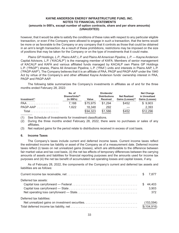however, that it would be able to satisfy the conditions of these rules with respect to any particular eligible transaction, or even if the Company were allowed to engage in such a transaction, that the terms would be more or as favorable to the Company or any company that it controls as those that could be obtained in an arm's length transaction. As a result of these prohibitions, restrictions may be imposed on the size of positions that may be taken for the Company or on the type of investments that it could make.

Plains GP Holdings, L.P., Plains AAP, L.P. and Plains All American Pipeline, L.P. — Kayne Anderson Capital Advisors, L.P. ("KACALP") is the managing member of KAFA. Members of senior management of KACALP and KAFA and various affiliated funds managed by KACALP own Plains GP Holdings L.P. ("PAGP") shares, Plains All American Pipeline, L.P. ("PAA") units and interests in Plains AAP, L.P. ("PAGP-AAP"). The Company believes that it is an affiliate of PAA, PAGP and PAGP-AAP under the 1940 Act by virtue of the Company's and other affiliated Kayne Anderson funds' ownership interest in PAA, PAGP and PAGP-AAP.

The following table summarizes the Company's investments in affiliates as of and for the three months ended February 28, 2022:

|                           | No. of<br>Shares/Units <sup>(2)</sup> |          | Dividends/<br><b>Distributions</b> | <b>Net Realized</b>           | <b>Net Change</b><br>in Unrealized |
|---------------------------|---------------------------------------|----------|------------------------------------|-------------------------------|------------------------------------|
| Investment <sup>(1)</sup> | (in 000's)                            | Value    | <b>Received</b>                    | Gains (Losses) <sup>(3)</sup> | Gains (Losses)                     |
| $PAA$                     | 7.188                                 | \$75,975 | \$1.294                            | \$452                         | \$9,903                            |
| $PAGP-MAP$                | 1.622                                 | 18,348   | 292                                |                               | 2,393                              |
| <b>Total</b>              |                                       | \$94,323 | \$1,586                            | \$452                         | \$12,296                           |

(1) See Schedule of Investments for investment classifications.

- (2) During the three months ended February 28, 2022, there were no purchases or sales of any affiliates.
- (3) Net realized gains for the period relate to distributions received in excess of cost basis.

#### **6. Income Taxes**

The Company's taxes include current and deferred income taxes. Current income taxes reflect the estimated income tax liability or asset of the Company as of a measurement date. Deferred income taxes reflect (i) taxes on net unrealized gains (losses), which are attributable to the difference between fair market value and tax cost basis, (ii) the net tax effects of temporary differences between the carrying amounts of assets and liabilities for financial reporting purposes and the amounts used for income tax purposes and (iii) the net tax benefit of accumulated net operating losses and capital losses, if any.

As of February 28, 2022, the components of the Company's current and deferred tax assets and liabilities are as follows:

| Deferred tax assets:      |       |
|---------------------------|-------|
|                           |       |
|                           | 3,903 |
|                           | 372   |
| Deferred tax liabilities: |       |
|                           |       |
|                           |       |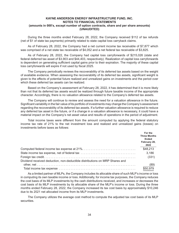During the three months ended February 28, 2022, the Company received \$112 of tax refunds (net of \$1 of state tax payments) primarily related to state capital loss carryback claims.

As of February 28, 2022, the Company had a net current income tax receivable of \$7,877 which was comprised of a net state tax receivable of \$4,052 and a net federal tax receivable of \$3,825.

As of February 28, 2022, the Company had capital loss carryforwards of \$215,026 (state and federal deferred tax asset of \$3,903 and \$44,403, respectively). Realization of capital loss carryforwards is dependent on generating sufficient capital gains prior to their expiration. The majority of these capital loss carryforwards will expire if not used by fiscal 2025.

The Company periodically reviews the recoverability of its deferred tax assets based on the weight of available evidence. When assessing the recoverability of its deferred tax assets, significant weight is given to the effects of potential future realized and unrealized gains on investments and the period over which these deferred tax assets can be realized.

Based on the Company's assessment at February 28, 2022, it has determined that it is more likely than not that its deferred tax assets would be realized through future taxable income of the appropriate character. Accordingly, there is no valuation allowance related to the Company's deferred tax assets.

The Company will continue to review and assess the need for a valuation allowance in the future. Significant variability in the fair value of its portfolio of investments may change the Company's assessment regarding the recoverability of its deferred tax assets. If a further valuation allowance is required to reduce any deferred tax asset in the future, or if a change in a valuation allowance is necessary, it could have a material impact on the Company's net asset value and results of operations in the period of adjustment.

Total income taxes were different from the amount computed by applying the federal statutory income tax rate of 21% to the net investment loss and realized and unrealized gains (losses) on investments before taxes as follows:

|                                                                             | For the<br><b>Three Months</b><br><b>Ended</b><br>February 28,<br>2022 |
|-----------------------------------------------------------------------------|------------------------------------------------------------------------|
|                                                                             | \$48,213                                                               |
|                                                                             | 3,186                                                                  |
|                                                                             | (331)                                                                  |
| Dividend received deduction, non-deductible distributions on MRP Shares and |                                                                        |
|                                                                             | (89)                                                                   |
|                                                                             | \$50.979                                                               |

As a limited partner of MLPs, the Company includes its allocable share of such MLP's income or loss in computing its own taxable income or loss. Additionally, for income tax purposes, the Company reduces the cost basis of its MLP investments by the cash distributions received, and increases or decreases the cost basis of its MLP investments by its allocable share of the MLP's income or loss. During the three months ended February 28, 2022, the Company increased its tax cost basis by approximately \$10,246 due to its 2021 net allocated income from its MLP investments.

The Company utilizes the average cost method to compute the adjusted tax cost basis of its MLP securities.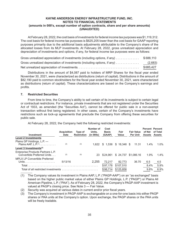At February 28, 2022, the cost basis of investments for federal income tax purposes was \$1,119,312. The cost basis for federal income tax purposes is \$625,205 lower than the cost basis for GAAP reporting purposes primarily due to the additional basis adjustments attributable to the Company's share of the allocated losses from its MLP investments. At February 28, 2022, gross unrealized appreciation and depreciation of investments and options, if any, for federal income tax purposes were as follows:

| Gross unrealized appreciation of investments (including options, if any) | \$688,110 |
|--------------------------------------------------------------------------|-----------|
| Gross unrealized depreciation of investments (including options, if any) | (2,683)   |
|                                                                          | \$685,427 |

Distributions in the amount of \$4,087 paid to holders of MRP Shares for the fiscal year ended November 30, 2021, were characterized as distributions (return of capital). Distributions in the amount of \$82,190 paid to common stockholders for the fiscal year ended November 30, 2021, were characterized as distributions (return of capital). These characterizations are based on the Company's earnings and profits.

## **7. Restricted Securities**

From time to time, the Company's ability to sell certain of its investments is subject to certain legal or contractual restrictions. For instance, private investments that are not registered under the Securities Act of 1933, as amended (the "Securities Act"), cannot be offered for public sale in a non-exempt transaction without first being registered. In other cases, certain of the Company's investments have restrictions such as lock-up agreements that preclude the Company from offering these securities for public sale.

At February 28, 2022, the Company held the following restricted investments:

|                                                                  | <b>Acquisition</b> | Type of            | Number of<br>Units. | Cost<br><b>Basis</b> | Fair               | <b>Fair Value</b>    | <b>Percent Percent</b><br>of Net | of Total      |
|------------------------------------------------------------------|--------------------|--------------------|---------------------|----------------------|--------------------|----------------------|----------------------------------|---------------|
| Investment                                                       | <b>Date</b>        | <b>Restriction</b> | (in 000s)           | (GAAP)               | Value              | <b>Per Unit</b>      | <b>Assets</b>                    | <b>Assets</b> |
| <b>Level 2 Investments</b>                                       |                    |                    |                     |                      |                    |                      |                                  |               |
| Plains GP Holdings, L.P. -                                       |                    |                    |                     |                      |                    |                      |                                  |               |
| Plains AAP, $L.P.(1)$                                            | (2)                | (3)                | 1.622               | S.                   | 1.536 \$ 18.348 \$ | 11.31                | $1.4\%$                          | $1.0\%$       |
| Level 3 Investments $(4)$                                        |                    |                    |                     |                      |                    |                      |                                  |               |
| Enterprise Products Partners L.P.<br>Convertible Preferred Units | (2)                | (5)                | 23                  | \$24.961             |                    | \$ 24.737 \$1.086.16 | 1.9%                             | $1.4\%$       |
| <b>MPLX LP Convertible Preferred</b>                             |                    |                    |                     |                      |                    |                      |                                  |               |
|                                                                  | 5/13/16            |                    | 2.255               | 72.217               | 82.773             | 36.70                | 6.5                              | 4.5           |
|                                                                  |                    |                    |                     | \$97.178             | \$107.510          |                      | 8.4%                             | 5.9%          |
| Total of all restricted investments                              |                    |                    |                     | \$98.714             | \$125,858          |                      | 9.8%                             | 6.9%          |

(1) The Company values its investment in Plains AAP, L.P. ("PAGP-AAP") on an "as exchanged" basis based on the higher public market value of either Plains GP Holdings, L.P. ("PAGP") or Plains All American Pipeline, L.P. ("PAA"). As of February 28, 2022, the Company's PAGP-AAP investment is valued at PAGP's closing price. See Note 3 — Fair Value.

(2) Security was acquired at various dates in current and/or prior fiscal years.

(3) The Company's investment in PAGP-AAP is exchangeable on a one-for-one basis into either PAGP shares or PAA units at the Company's option. Upon exchange, the PAGP shares or the PAA units will be freely tradable.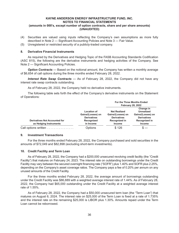- (4) Securities are valued using inputs reflecting the Company's own assumptions as more fully described in Note 2 — Significant Accounting Policies and Note 3 — Fair Value.
- (5) Unregistered or restricted security of a publicly-traded company.

#### **8. Derivative Financial Instruments**

As required by the Derivatives and Hedging Topic of the FASB Accounting Standards Codification (ASC 815), the following are the derivative instruments and hedging activities of the Company. See Note 2 — Significant Accounting Policies.

*Option Contracts* — Based on the notional amount, the Company has written a monthly average of \$6,654 of call options during the three months ended February 28, 2022.

*Interest Rate Swap Contracts*  — As of February 28, 2022, the Company did not have any interest rate swap contracts outstanding.

As of February 28, 2022, the Company held no derivative instruments.

The following table sets forth the effect of the Company's derivative instruments on the Statement of Operations:

|                                                                |                                                                                          | For the Three Months Ended<br><b>February 28, 2022</b>                                           |                                                                                                             |  |
|----------------------------------------------------------------|------------------------------------------------------------------------------------------|--------------------------------------------------------------------------------------------------|-------------------------------------------------------------------------------------------------------------|--|
| <b>Derivatives Not Accounted for</b><br>as Hedging Instruments | <b>Location of</b><br>Gains/(Losses) on<br><b>Derivatives</b><br>Recognized<br>in Income | <b>Net Realized</b><br>Gains/(Losses) on<br><b>Derivatives</b><br>Recognized in<br><b>Income</b> | Change in<br><b>Unrealized</b><br>Gains/(Losses) on<br><b>Derivatives</b><br>Recognized in<br><b>Income</b> |  |
| Call options written $\ldots \ldots \ldots \ldots$             | Options                                                                                  | \$126                                                                                            |                                                                                                             |  |

#### **9. Investment Transactions**

For the three months ended February 28, 2022, the Company purchased and sold securities in the amounts of \$72,049 and \$82,898 (excluding short-term investments).

#### **10. Credit Facility and Term Loan**

As of February 28, 2022, the Company had a \$200,000 unsecured revolving credit facility (the "Credit Facility") that matures on February 24, 2023. The interest rate on outstanding borrowings under the Credit Facility may vary between the secured overnight financing rate ("SOFR") plus 1.40% and SOFR plus 2.25%, depending on the Company's asset coverage ratios. The Company pays a fee of 0.20% per annum on any unused amounts of the Credit Facility.

For the three months ended February 28, 2022, the average amount of borrowings outstanding under the Credit Facility was \$86,889 with a weighted average interest rate of 1.44%. As of February 28, 2022, the Company had \$65,000 outstanding under the Credit Facility at a weighted average interest rate of 1.55%.

As of February 28, 2022, the Company had a \$50,000 unsecured term loan (the "Term Loan") that matures on August 6, 2024. The interest rate on \$25,000 of the Term Loan is fixed at a rate of 1.735% and the interest rate on the remaining \$25,000 is LIBOR plus 1.30%. Amounts repaid under the Term Loan cannot be reborrowed.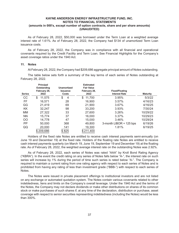As of February 28, 2022, \$50,000 was borrowed under the Term Loan at a weighted average interest rate of 1.61%. As of February 28, 2022, the Company had \$134 of unamortized Term Loan issuance costs.

As of February 28, 2022, the Company was in compliance with all financial and operational covenants required by the Credit Facility and Term Loan. See Financial Highlights for the Company's asset coverage ratios under the 1940 Act.

#### **11. Notes**

At February 28, 2022, the Company had \$209,686 aggregate principal amount of Notes outstanding.

The table below sets forth a summary of the key terms of each series of Notes outstanding at February 28, 2022.

| <b>Series</b> | <b>Principal</b><br>Outstanding<br>February 28,<br>2022 | <b>Unamortized</b><br><b>Issuance</b><br>Costs | <b>Estimated</b><br><b>Fair Value</b><br>February 28,<br>2022 | <b>Fixed/Floating</b><br><b>Interest Rate</b> | <b>Maturity</b> |
|---------------|---------------------------------------------------------|------------------------------------------------|---------------------------------------------------------------|-----------------------------------------------|-----------------|
| CC            | \$<br>11,575                                            | \$<br>$\overline{4}$                           | \$<br>11,700                                                  | 3.95%                                         | 5/3/22          |
| FF            | 16.571                                                  | 28                                             | 16,900                                                        | 3.57%                                         | 4/16/23         |
| GG            | 21,419                                                  | 69                                             | 21,900                                                        | 3.67%                                         | 4/16/25         |
| KK            | 32.247                                                  | 98                                             | 33,200                                                        | 3.93%                                         | 7/30/24         |
| <b>MM</b>     | 27,322                                                  | 33                                             | 27,600                                                        | 3.26%                                         | 10/29/22        |
| <b>NN</b>     | 15.774                                                  | 37                                             | 16,000                                                        | 3.37%                                         | 10/29/23        |
| <sub>OO</sub> | 14.778                                                  | 47                                             | 15,000                                                        | 3.46%                                         | 10/29/24        |
| PP            | 50,000                                                  | 368                                            | 49,800                                                        | 3-month LIBOR + 125 bps                       | 6/19/26         |
| QQ            | 20,000                                                  | 141                                            | 19,300                                                        | 1.81%                                         | 6/19/25         |
|               | \$209,686                                               | \$825                                          | \$211,400                                                     |                                               |                 |

Holders of the fixed rate Notes are entitled to receive cash interest payments semi-annually (on June 19 and December 19) at the fixed rate. Holders of the floating rate Notes are entitled to receive cash interest payments quarterly (on March 19, June 19, September 19 and December 19) at the floating rate. As of February 28, 2022, the weighted average interest rate on the outstanding Notes was 2.92%.

As of February 28, 2022, each series of Notes was rated "AAA" by Kroll Bond Rating Agency ("KBRA"). In the event the credit rating on any series of Notes falls below "A-", the interest rate on such series will increase by 1% during the period of time such series is rated below "A-". The Company is required to maintain a current rating from one rating agency with respect to each series of Notes and is prohibited from having any rating of less than investment grade ("BBB-") with respect to each series of Notes.

The Notes were issued in private placement offerings to institutional investors and are not listed on any exchange or automated quotation system. The Notes contain various covenants related to other indebtedness, liens and limits on the Company's overall leverage. Under the 1940 Act and the terms of the Notes, the Company may not declare dividends or make other distributions on shares of its common stock or make purchases of such shares if, at any time of the declaration, distribution or purchase, asset coverage with respect to senior securities representing indebtedness (including the Notes) would be less than 300%.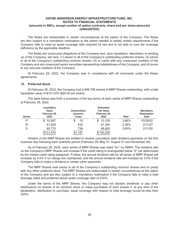The Notes are redeemable in certain circumstances at the option of the Company. The Notes are also subject to a mandatory redemption to the extent needed to satisfy certain requirements if the Company fails to meet an asset coverage ratio required by law and is not able to cure the coverage deficiency by the applicable deadline.

The Notes are unsecured obligations of the Company and, upon liquidation, dissolution or winding up of the Company, will rank: (1) senior to all of the Company's outstanding preferred shares; (2) senior to all of the Company's outstanding common shares; (3) on parity with any unsecured creditors of the Company and any unsecured senior securities representing indebtedness of the Company; and (4) junior to any secured creditors of the Company.

At February 28, 2022, the Company was in compliance with all covenants under the Notes agreements.

#### **12. Preferred Stock**

At February 28, 2022, the Company had 4,066,795 shares of MRP Shares outstanding, with a total liquidation value of \$101,670 (\$25.00 per share).

The table below sets forth a summary of the key terms of each series of MRP Shares outstanding at February 28, 2022.

| <b>Series</b> | Liquidation<br>Value<br>February 28,<br>2022 | Unamortized<br><b>Issuance</b><br>Costs | <b>Estimated</b><br><b>Fair Value</b><br>February 28,<br>2022 | Rate  | <b>Mandatory</b><br><b>Redemption</b><br><b>Date</b> |  |
|---------------|----------------------------------------------|-----------------------------------------|---------------------------------------------------------------|-------|------------------------------------------------------|--|
| P             | \$10,067                                     | 19                                      | 10,100<br>S                                                   | 3.86% | 10/29/22                                             |  |
| R             | 41,828                                       | 432                                     | 41,300                                                        | 3.38% | 2/11/27                                              |  |
| S             | 49,775                                       | 736                                     | 48,800                                                        | 3.60% | 2/11/30                                              |  |
|               | \$101,670                                    | \$1,187                                 | \$100,200                                                     |       |                                                      |  |

Holders of the MRP Shares are entitled to receive cumulative cash dividend payments on the first business day following each quarterly period (February 28, May 31, August 31 and November 30).

As of February 28, 2022, each series of MRP Shares was rated "A+" by KBRA. The dividend rate on the Company's MRP Shares will increase if the credit rating is downgraded below "A" (as determined by the lowest credit rating assigned). Further, the annual dividend rate for all series of MRP Shares will increase by 4.0% if no ratings are maintained, and the annual dividend rate will increase by 5.0% if the Company fails to make a dividend or certain other payments.

The MRP Shares rank senior to all of the Company's outstanding common shares and on parity with any other preferred stock. The MRP Shares are redeemable in certain circumstances at the option of the Company and are also subject to a mandatory redemption if the Company fails to meet a total leverage (debt and preferred stock) asset coverage ratio of 225%.

Under the terms of the MRP Shares, the Company may not declare dividends or pay other distributions on shares of its common stock or make purchases of such shares if, at any time of the declaration, distribution or purchase, asset coverage with respect to total leverage would be less than 225%.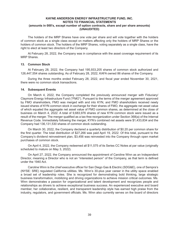The holders of the MRP Shares have one vote per share and will vote together with the holders of common stock as a single class except on matters affecting only the holders of MRP Shares or the holders of common stock. The holders of the MRP Shares, voting separately as a single class, have the right to elect at least two directors of the Company.

At February 28, 2022, the Company was in compliance with the asset coverage requirement of its MRP Shares.

#### **13. Common Stock**

At February 28, 2022, the Company had 195,933,205 shares of common stock authorized and 126,447,554 shares outstanding. As of February 28, 2022, KAFA owned 86 shares of the Company.

During the three months ended February 28, 2022, and fiscal year ended November 30, 2021, there were no common stock transactions.

#### **14. Subsequent Events**

On March 4, 2022, the Company completed the previously announced merger with Fiduciary/ Claymore Energy Infrastructure Fund ("FMO"). Pursuant to the terms of the merger agreement approved by FMO shareholders, FMO was merged with and into KYN, and FMO shareholders received newly issued shares of KYN common stock in exchange for their shares of FMO, the aggregate net asset value of which equaled the aggregate net asset value of FMO common shares, as determined at the close of business on March 4, 2022. A total of 9,683,976 shares of new KYN common stock were issued as a result of the merger. The merger qualified as a tax-free reorganization under Section 368(a) of the Internal Revenue Code. Immediately following the merger, KYN's combined net assets were \$1,433,834 and the Company had 136,131,530 shares of common stock outstanding.

On March 30, 2022, the Company declared a quarterly distribution of \$0.20 per common share for the first quarter. The total distribution of \$27,266 was paid April 19, 2022. Of this total, pursuant to the Company's dividend reinvestment plan, \$3,456 was reinvested into the Company through open market purchases of common stock.

On April 4, 2022, the Company redeemed all \$11,575 of its Series CC Notes at par value (originally scheduled to mature on May 3, 2022).

On April 27, 2022, the Company announced the appointment of Caroline Winn as an Independent Director, meaning a Director who is not an "interested person" of the Company, as that term is defined under the 1940 Act.

Caroline Winn is the chief executive officer for San Diego Gas & Electric (SDG&E), one of Sempra's (NYSE: SRE) regulated California utilities. Ms. Winn's 30-plus year career in the utility space enabled a broad set of leadership roles. She is recognized for demonstrating bold thinking, large strategic business transformation, mobilizing and driving organizations to achieve mission critical outcomes. Ms. Winn demonstrates a passion for organizational and talent development and recognizes people and relationships as drivers to achieve exceptional business success. An experienced executive and board member, her collaborative, resilient, and transparent leadership style has earned high praise from the industry, regulators, and government officials. Ms. Winn also currently serves on the board of directors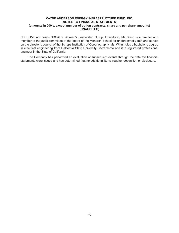of SDG&E and leads SDG&E's Women's Leadership Group. In addition, Ms. Winn is a director and member of the audit committee of the board of the Monarch School for underserved youth and serves on the director's council of the Scripps Institution of Oceanography. Ms. Winn holds a bachelor's degree in electrical engineering from California State University Sacramento and is a registered professional engineer in the State of California.

The Company has performed an evaluation of subsequent events through the date the financial statements were issued and has determined that no additional items require recognition or disclosure.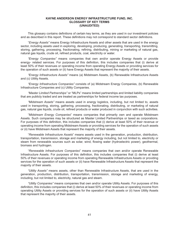## **KAYNE ANDERSON ENERGY INFRASTRUCTURE FUND, INC. GLOSSARY OF KEY TERMS (UNAUDITED)**

This glossary contains definitions of certain key terms, as they are used in our investment policies and as described in this report. These definitions may not correspond to standard sector definitions.

"*Energy Assets"* means Energy Infrastructure Assets and other assets that are used in the energy sector, including assets used in exploring, developing, producing, generating, transporting, transmitting, storing, gathering, processing, fractionating, refining, distributing, mining or marketing of natural gas, natural gas liquids, crude oil, refined products, coal, electricity or water.

*"Energy Companies"* means companies that own and/or operate Energy Assets or provide energy- related services. For purposes of this definition, this includes companies that (i) derive at least 50% of their revenues or operating income from operating Energy Assets or providing services for the operation of such assets or (ii) have Energy Assets that represent the majority of their assets.

*"Energy Infrastructure Assets"* means (a) Midstream Assets, (b) Renewable Infrastructure Assets and (c) Utility Assets.

*"Energy Infrastructure Companies"* consists of (a) Midstream Energy Companies, (b) Renewable Infrastructure Companies and (c) Utility Companies.

*"Master Limited Partnerships"* or "MLPs" means limited partnerships and limited liability companies that are publicly traded and are treated as partnerships for federal income tax purposes.

*"Midstream Assets"* means assets used in energy logistics, including, but not limited to, assets used in transporting, storing, gathering, processing, fractionating, distributing, or marketing of natural gas, natural gas liquids, crude oil, refined products or water produced in conjunction with such activities.

"*Midstream Energy Companies*" means companies that primarily own and operate Midstream Assets. Such companies may be structured as Master Limited Partnerships or taxed as corporations. For purposes of this definition, this includes companies that (i) derive at least 50% of their revenue or operating income from operating Midstream Assets or providing services for the operation of such assets or (ii) have Midstream Assets that represent the majority of their assets.

"*Renewable Infrastructure Assets*" means assets used in the generation, production, distribution, transportation, transmission, storage and marketing of energy including, but not limited to, electricity or steam from renewable sources such as solar, wind, flowing water (hydroelectric power), geothermal, biomass and hydrogen.

"*Renewable Infrastructure Companies*" means companies that own and/or operate Renewable Infrastructure Assets. For purposes of this definition, this includes companies that (i) derive at least 50% of their revenues or operating income from operating Renewable Infrastructure Assets or providing services for the operation of such assets or (ii) have Renewable Infrastructure Assets that represent the majority of their assets.

*"Utility Assets"* means assets, other than Renewable Infrastructure Assets, that are used in the generation, production, distribution, transportation, transmission, storage and marketing of energy, including, but not limited to, electricity, natural gas and steam.

*"Utility Companies"* means companies that own and/or operate Utility Assets. For purposes of this definition, this includes companies that (i) derive at least 50% of their revenues or operating income from operating Utility Assets or providing services for the operation of such assets or (ii) have Utility Assets that represent the majority of their assets.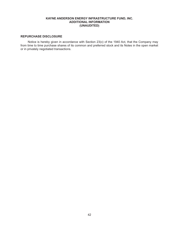# **KAYNE ANDERSON ENERGY INFRASTRUCTURE FUND, INC. ADDITIONAL INFORMATION (UNAUDITED)**

# **REPURCHASE DISCLOSURE**

Notice is hereby given in accordance with Section 23(c) of the 1940 Act, that the Company may from time to time purchase shares of its common and preferred stock and its Notes in the open market or in privately negotiated transactions.